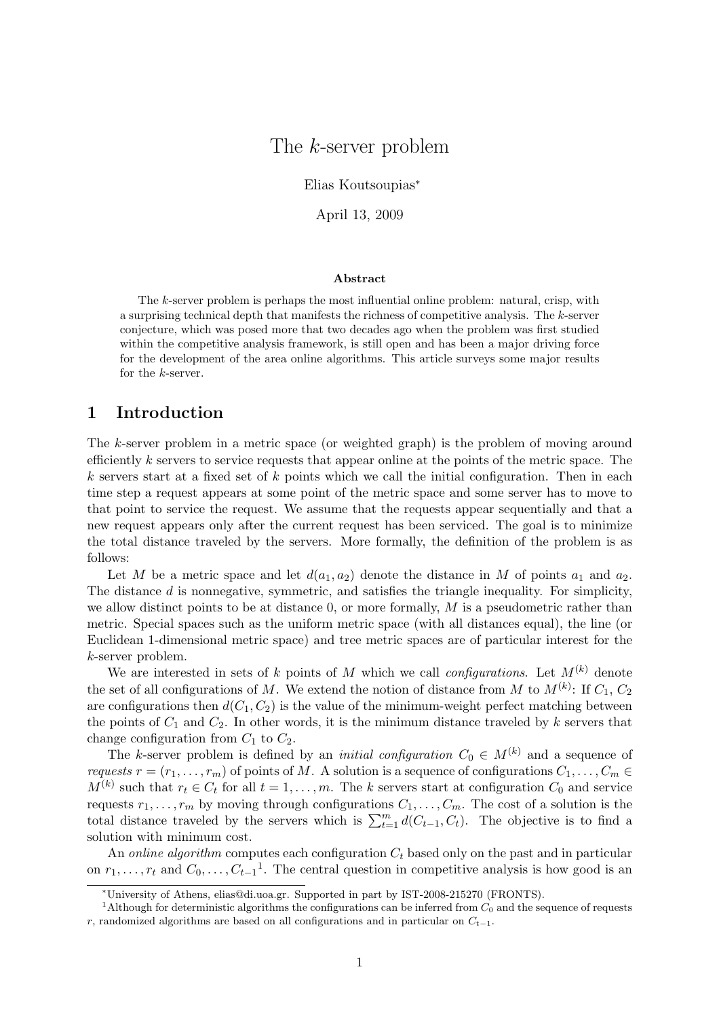# The k-server problem

Elias Koutsoupias<sup>∗</sup>

April 13, 2009

#### Abstract

The k-server problem is perhaps the most influential online problem: natural, crisp, with a surprising technical depth that manifests the richness of competitive analysis. The k-server conjecture, which was posed more that two decades ago when the problem was first studied within the competitive analysis framework, is still open and has been a major driving force for the development of the area online algorithms. This article surveys some major results for the  $k$ -server.

### 1 Introduction

The k-server problem in a metric space (or weighted graph) is the problem of moving around efficiently k servers to service requests that appear online at the points of the metric space. The  $k$  servers start at a fixed set of  $k$  points which we call the initial configuration. Then in each time step a request appears at some point of the metric space and some server has to move to that point to service the request. We assume that the requests appear sequentially and that a new request appears only after the current request has been serviced. The goal is to minimize the total distance traveled by the servers. More formally, the definition of the problem is as follows:

Let M be a metric space and let  $d(a_1, a_2)$  denote the distance in M of points  $a_1$  and  $a_2$ . The distance d is nonnegative, symmetric, and satisfies the triangle inequality. For simplicity, we allow distinct points to be at distance  $0$ , or more formally,  $M$  is a pseudometric rather than metric. Special spaces such as the uniform metric space (with all distances equal), the line (or Euclidean 1-dimensional metric space) and tree metric spaces are of particular interest for the k-server problem.

We are interested in sets of k points of M which we call *configurations*. Let  $M^{(k)}$  denote the set of all configurations of M. We extend the notion of distance from M to  $M^{(k)}$ : If  $C_1, C_2$ are configurations then  $d(C_1, C_2)$  is the value of the minimum-weight perfect matching between the points of  $C_1$  and  $C_2$ . In other words, it is the minimum distance traveled by k servers that change configuration from  $C_1$  to  $C_2$ .

The k-server problem is defined by an *initial configuration*  $C_0 \in M^{(k)}$  and a sequence of requests  $r = (r_1, \ldots, r_m)$  of points of M. A solution is a sequence of configurations  $C_1, \ldots, C_m \in$  $M^{(k)}$  such that  $r_t \in C_t$  for all  $t = 1, \ldots, m$ . The k servers start at configuration  $C_0$  and service requests  $r_1, \ldots, r_m$  by moving through configurations  $C_1, \ldots, C_m$ . The cost of a solution is the total distance traveled by the servers which is  $\sum_{t=1}^{m} d(C_{t-1}, C_t)$ . The objective is to find a solution with minimum cost.

An online algorithm computes each configuration  $C_t$  based only on the past and in particular on  $r_1, \ldots, r_t$  and  $C_0, \ldots, C_{t-1}$ <sup>1</sup>. The central question in competitive analysis is how good is an

<sup>∗</sup>University of Athens, elias@di.uoa.gr. Supported in part by IST-2008-215270 (FRONTS).

<sup>&</sup>lt;sup>1</sup>Although for deterministic algorithms the configurations can be inferred from  $C_0$  and the sequence of requests r, randomized algorithms are based on all configurations and in particular on  $C_{t-1}$ .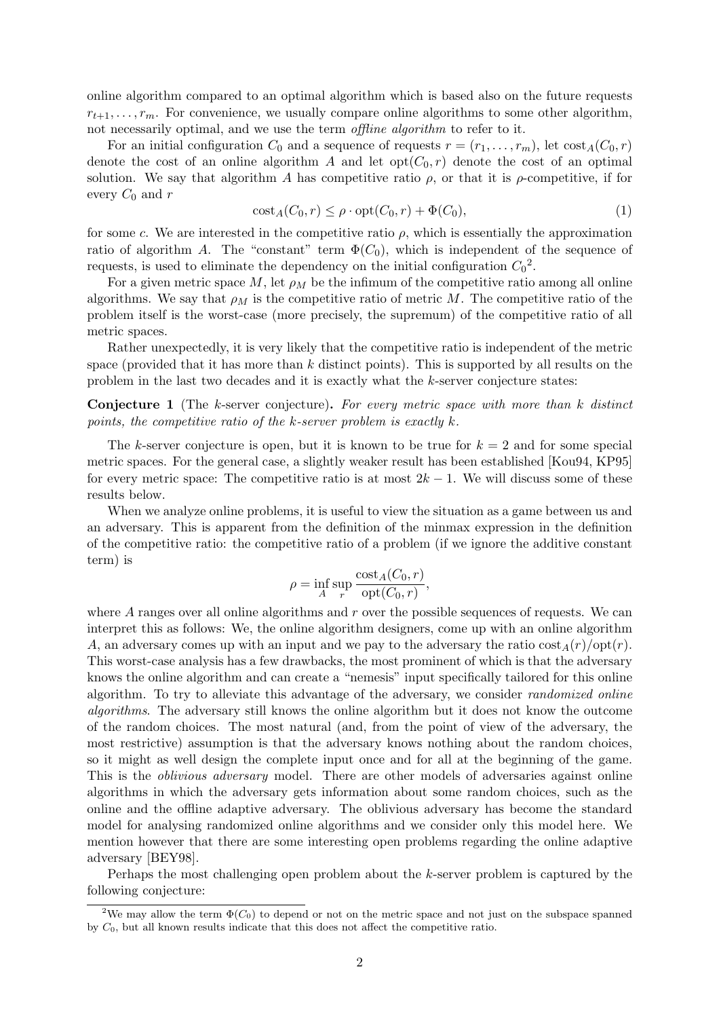online algorithm compared to an optimal algorithm which is based also on the future requests  $r_{t+1}, \ldots, r_m$ . For convenience, we usually compare online algorithms to some other algorithm, not necessarily optimal, and we use the term *offline algorithm* to refer to it.

For an initial configuration  $C_0$  and a sequence of requests  $r = (r_1, \ldots, r_m)$ , let  $\cos t_A(C_0, r)$ denote the cost of an online algorithm A and let  $opt(C_0, r)$  denote the cost of an optimal solution. We say that algorithm A has competitive ratio  $\rho$ , or that it is  $\rho$ -competitive, if for every  $C_0$  and r

$$
\operatorname{cost}_A(C_0, r) \le \rho \cdot \operatorname{opt}(C_0, r) + \Phi(C_0),\tag{1}
$$

for some c. We are interested in the competitive ratio  $\rho$ , which is essentially the approximation ratio of algorithm A. The "constant" term  $\Phi(C_0)$ , which is independent of the sequence of requests, is used to eliminate the dependency on the initial configuration  $C_0^2$ .

For a given metric space M, let  $\rho_M$  be the infimum of the competitive ratio among all online algorithms. We say that  $\rho_M$  is the competitive ratio of metric M. The competitive ratio of the problem itself is the worst-case (more precisely, the supremum) of the competitive ratio of all metric spaces.

Rather unexpectedly, it is very likely that the competitive ratio is independent of the metric space (provided that it has more than  $k$  distinct points). This is supported by all results on the problem in the last two decades and it is exactly what the k-server conjecture states:

**Conjecture 1** (The k-server conjecture). For every metric space with more than k distinct points, the competitive ratio of the k-server problem is exactly k.

The k-server conjecture is open, but it is known to be true for  $k = 2$  and for some special metric spaces. For the general case, a slightly weaker result has been established [Kou94, KP95] for every metric space: The competitive ratio is at most  $2k - 1$ . We will discuss some of these results below.

When we analyze online problems, it is useful to view the situation as a game between us and an adversary. This is apparent from the definition of the minmax expression in the definition of the competitive ratio: the competitive ratio of a problem (if we ignore the additive constant term) is

$$
\rho = \inf_{A} \sup_{r} \frac{\text{cost}_{A}(C_0, r)}{\text{opt}(C_0, r)},
$$

where  $A$  ranges over all online algorithms and  $r$  over the possible sequences of requests. We can interpret this as follows: We, the online algorithm designers, come up with an online algorithm A, an adversary comes up with an input and we pay to the adversary the ratio  $cost_A(r)/opt(r)$ . This worst-case analysis has a few drawbacks, the most prominent of which is that the adversary knows the online algorithm and can create a "nemesis" input specifically tailored for this online algorithm. To try to alleviate this advantage of the adversary, we consider randomized online algorithms. The adversary still knows the online algorithm but it does not know the outcome of the random choices. The most natural (and, from the point of view of the adversary, the most restrictive) assumption is that the adversary knows nothing about the random choices, so it might as well design the complete input once and for all at the beginning of the game. This is the *oblivious adversary* model. There are other models of adversaries against online algorithms in which the adversary gets information about some random choices, such as the online and the offline adaptive adversary. The oblivious adversary has become the standard model for analysing randomized online algorithms and we consider only this model here. We mention however that there are some interesting open problems regarding the online adaptive adversary [BEY98].

Perhaps the most challenging open problem about the k-server problem is captured by the following conjecture:

<sup>&</sup>lt;sup>2</sup>We may allow the term  $\Phi(C_0)$  to depend or not on the metric space and not just on the subspace spanned by  $C_0$ , but all known results indicate that this does not affect the competitive ratio.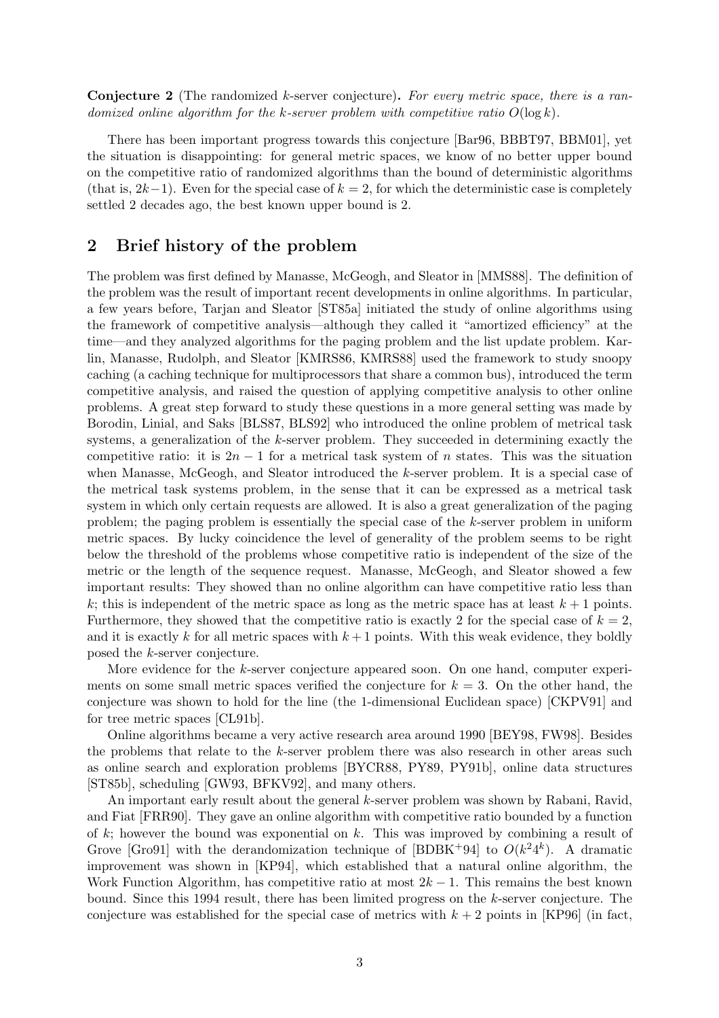Conjecture 2 (The randomized k-server conjecture). For every metric space, there is a randomized online algorithm for the k-server problem with competitive ratio  $O(\log k)$ .

There has been important progress towards this conjecture [Bar96, BBBT97, BBM01], yet the situation is disappointing: for general metric spaces, we know of no better upper bound on the competitive ratio of randomized algorithms than the bound of deterministic algorithms (that is,  $2k-1$ ). Even for the special case of  $k = 2$ , for which the deterministic case is completely settled 2 decades ago, the best known upper bound is 2.

## 2 Brief history of the problem

The problem was first defined by Manasse, McGeogh, and Sleator in [MMS88]. The definition of the problem was the result of important recent developments in online algorithms. In particular, a few years before, Tarjan and Sleator [ST85a] initiated the study of online algorithms using the framework of competitive analysis—although they called it "amortized efficiency" at the time—and they analyzed algorithms for the paging problem and the list update problem. Karlin, Manasse, Rudolph, and Sleator [KMRS86, KMRS88] used the framework to study snoopy caching (a caching technique for multiprocessors that share a common bus), introduced the term competitive analysis, and raised the question of applying competitive analysis to other online problems. A great step forward to study these questions in a more general setting was made by Borodin, Linial, and Saks [BLS87, BLS92] who introduced the online problem of metrical task systems, a generalization of the k-server problem. They succeeded in determining exactly the competitive ratio: it is  $2n-1$  for a metrical task system of n states. This was the situation when Manasse, McGeogh, and Sleator introduced the k-server problem. It is a special case of the metrical task systems problem, in the sense that it can be expressed as a metrical task system in which only certain requests are allowed. It is also a great generalization of the paging problem; the paging problem is essentially the special case of the k-server problem in uniform metric spaces. By lucky coincidence the level of generality of the problem seems to be right below the threshold of the problems whose competitive ratio is independent of the size of the metric or the length of the sequence request. Manasse, McGeogh, and Sleator showed a few important results: They showed than no online algorithm can have competitive ratio less than k; this is independent of the metric space as long as the metric space has at least  $k + 1$  points. Furthermore, they showed that the competitive ratio is exactly 2 for the special case of  $k = 2$ . and it is exactly k for all metric spaces with  $k+1$  points. With this weak evidence, they boldly posed the k-server conjecture.

More evidence for the k-server conjecture appeared soon. On one hand, computer experiments on some small metric spaces verified the conjecture for  $k = 3$ . On the other hand, the conjecture was shown to hold for the line (the 1-dimensional Euclidean space) [CKPV91] and for tree metric spaces [CL91b].

Online algorithms became a very active research area around 1990 [BEY98, FW98]. Besides the problems that relate to the k-server problem there was also research in other areas such as online search and exploration problems [BYCR88, PY89, PY91b], online data structures [ST85b], scheduling [GW93, BFKV92], and many others.

An important early result about the general k-server problem was shown by Rabani, Ravid, and Fiat [FRR90]. They gave an online algorithm with competitive ratio bounded by a function of  $k$ ; however the bound was exponential on  $k$ . This was improved by combining a result of Grove [Gro91] with the derandomization technique of [BDBK+94] to  $O(k^24^k)$ . A dramatic improvement was shown in [KP94], which established that a natural online algorithm, the Work Function Algorithm, has competitive ratio at most  $2k - 1$ . This remains the best known bound. Since this 1994 result, there has been limited progress on the k-server conjecture. The conjecture was established for the special case of metrics with  $k + 2$  points in [KP96] (in fact,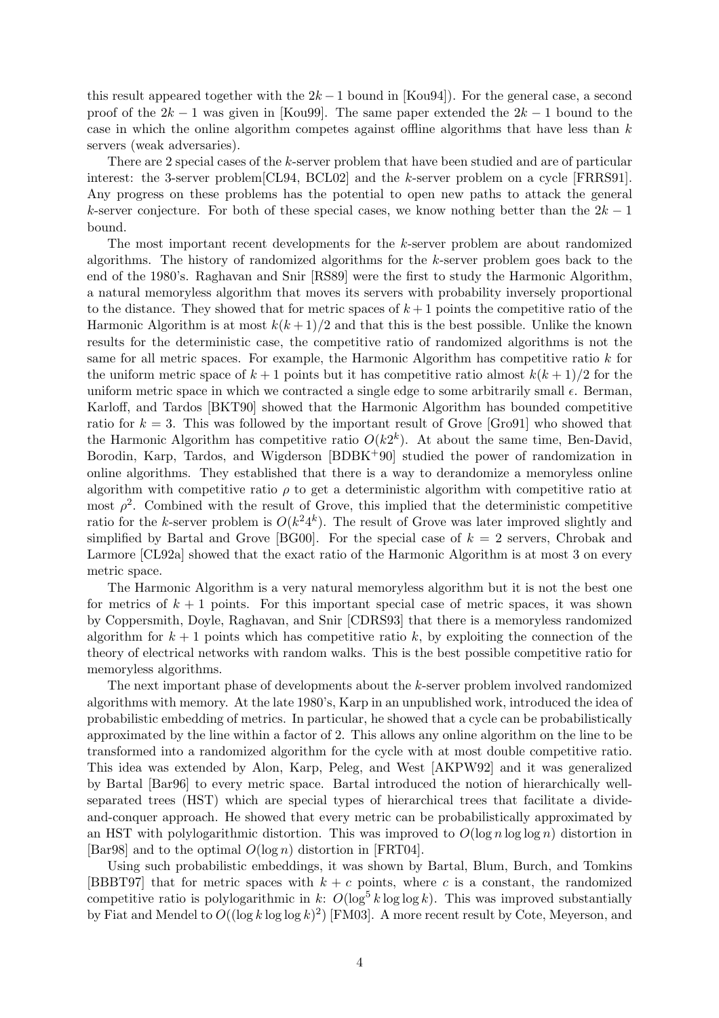this result appeared together with the  $2k-1$  bound in [Kou94]). For the general case, a second proof of the  $2k - 1$  was given in [Kou99]. The same paper extended the  $2k - 1$  bound to the case in which the online algorithm competes against offline algorithms that have less than  $k$ servers (weak adversaries).

There are 2 special cases of the k-server problem that have been studied and are of particular interest: the 3-server problem[CL94, BCL02] and the k-server problem on a cycle [FRRS91]. Any progress on these problems has the potential to open new paths to attack the general k-server conjecture. For both of these special cases, we know nothing better than the  $2k-1$ bound.

The most important recent developments for the k-server problem are about randomized algorithms. The history of randomized algorithms for the k-server problem goes back to the end of the 1980's. Raghavan and Snir [RS89] were the first to study the Harmonic Algorithm, a natural memoryless algorithm that moves its servers with probability inversely proportional to the distance. They showed that for metric spaces of  $k+1$  points the competitive ratio of the Harmonic Algorithm is at most  $k(k+1)/2$  and that this is the best possible. Unlike the known results for the deterministic case, the competitive ratio of randomized algorithms is not the same for all metric spaces. For example, the Harmonic Algorithm has competitive ratio  $k$  for the uniform metric space of  $k+1$  points but it has competitive ratio almost  $k(k+1)/2$  for the uniform metric space in which we contracted a single edge to some arbitrarily small  $\epsilon$ . Berman, Karloff, and Tardos [BKT90] showed that the Harmonic Algorithm has bounded competitive ratio for  $k = 3$ . This was followed by the important result of Grove [Gro91] who showed that the Harmonic Algorithm has competitive ratio  $O(k2^k)$ . At about the same time, Ben-David, Borodin, Karp, Tardos, and Wigderson [BDBK+90] studied the power of randomization in online algorithms. They established that there is a way to derandomize a memoryless online algorithm with competitive ratio  $\rho$  to get a deterministic algorithm with competitive ratio at most  $\rho^2$ . Combined with the result of Grove, this implied that the deterministic competitive ratio for the k-server problem is  $O(k^2 4^k)$ . The result of Grove was later improved slightly and simplified by Bartal and Grove [BG00]. For the special case of  $k = 2$  servers, Chrobak and Larmore [CL92a] showed that the exact ratio of the Harmonic Algorithm is at most 3 on every metric space.

The Harmonic Algorithm is a very natural memoryless algorithm but it is not the best one for metrics of  $k + 1$  points. For this important special case of metric spaces, it was shown by Coppersmith, Doyle, Raghavan, and Snir [CDRS93] that there is a memoryless randomized algorithm for  $k + 1$  points which has competitive ratio k, by exploiting the connection of the theory of electrical networks with random walks. This is the best possible competitive ratio for memoryless algorithms.

The next important phase of developments about the k-server problem involved randomized algorithms with memory. At the late 1980's, Karp in an unpublished work, introduced the idea of probabilistic embedding of metrics. In particular, he showed that a cycle can be probabilistically approximated by the line within a factor of 2. This allows any online algorithm on the line to be transformed into a randomized algorithm for the cycle with at most double competitive ratio. This idea was extended by Alon, Karp, Peleg, and West [AKPW92] and it was generalized by Bartal [Bar96] to every metric space. Bartal introduced the notion of hierarchically wellseparated trees (HST) which are special types of hierarchical trees that facilitate a divideand-conquer approach. He showed that every metric can be probabilistically approximated by an HST with polylogarithmic distortion. This was improved to  $O(\log n \log \log n)$  distortion in [Bar98] and to the optimal  $O(\log n)$  distortion in [FRT04].

Using such probabilistic embeddings, it was shown by Bartal, Blum, Burch, and Tomkins [BBBT97] that for metric spaces with  $k + c$  points, where c is a constant, the randomized competitive ratio is polylogarithmic in k:  $O(\log^5 k \log \log k)$ . This was improved substantially by Fiat and Mendel to  $O((\log k \log \log k)^2)$  [FM03]. A more recent result by Cote, Meyerson, and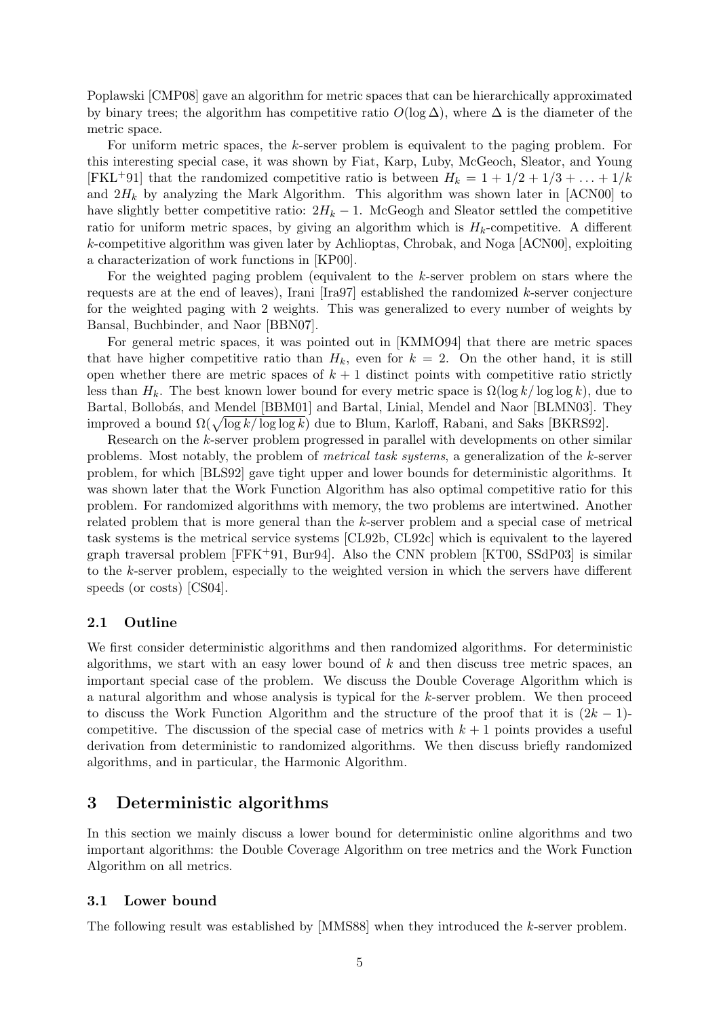Poplawski [CMP08] gave an algorithm for metric spaces that can be hierarchically approximated by binary trees; the algorithm has competitive ratio  $O(\log \Delta)$ , where  $\Delta$  is the diameter of the metric space.

For uniform metric spaces, the k-server problem is equivalent to the paging problem. For this interesting special case, it was shown by Fiat, Karp, Luby, McGeoch, Sleator, and Young [FKL<sup>+</sup>91] that the randomized competitive ratio is between  $H_k = 1 + 1/2 + 1/3 + ... + 1/k$ and  $2H_k$  by analyzing the Mark Algorithm. This algorithm was shown later in [ACN00] to have slightly better competitive ratio:  $2H_k - 1$ . McGeogh and Sleator settled the competitive ratio for uniform metric spaces, by giving an algorithm which is  $H_k$ -competitive. A different k-competitive algorithm was given later by Achlioptas, Chrobak, and Noga [ACN00], exploiting a characterization of work functions in [KP00].

For the weighted paging problem (equivalent to the k-server problem on stars where the requests are at the end of leaves), Irani  $\left[\text{Ira97}\right]$  established the randomized k-server conjecture for the weighted paging with 2 weights. This was generalized to every number of weights by Bansal, Buchbinder, and Naor [BBN07].

For general metric spaces, it was pointed out in [KMMO94] that there are metric spaces that have higher competitive ratio than  $H_k$ , even for  $k = 2$ . On the other hand, it is still open whether there are metric spaces of  $k + 1$  distinct points with competitive ratio strictly less than  $H_k$ . The best known lower bound for every metric space is  $\Omega(\log k / \log \log k)$ , due to Bartal, Bollobás, and Mendel [BBM01] and Bartal, Linial, Mendel and Naor [BLMN03]. They improved a bound  $\Omega(\sqrt{\log k/\log \log k})$  due to Blum, Karloff, Rabani, and Saks [BKRS92].

Research on the k-server problem progressed in parallel with developments on other similar problems. Most notably, the problem of metrical task systems, a generalization of the k-server problem, for which [BLS92] gave tight upper and lower bounds for deterministic algorithms. It was shown later that the Work Function Algorithm has also optimal competitive ratio for this problem. For randomized algorithms with memory, the two problems are intertwined. Another related problem that is more general than the k-server problem and a special case of metrical task systems is the metrical service systems [CL92b, CL92c] which is equivalent to the layered graph traversal problem  $[FFK^+91, Bur94]$ . Also the CNN problem  $[KT00, S\rightarrow S3]$  is similar to the k-server problem, especially to the weighted version in which the servers have different speeds (or costs) [CS04].

#### 2.1 Outline

We first consider deterministic algorithms and then randomized algorithms. For deterministic algorithms, we start with an easy lower bound of  $k$  and then discuss tree metric spaces, an important special case of the problem. We discuss the Double Coverage Algorithm which is a natural algorithm and whose analysis is typical for the k-server problem. We then proceed to discuss the Work Function Algorithm and the structure of the proof that it is  $(2k-1)$ competitive. The discussion of the special case of metrics with  $k + 1$  points provides a useful derivation from deterministic to randomized algorithms. We then discuss briefly randomized algorithms, and in particular, the Harmonic Algorithm.

## 3 Deterministic algorithms

In this section we mainly discuss a lower bound for deterministic online algorithms and two important algorithms: the Double Coverage Algorithm on tree metrics and the Work Function Algorithm on all metrics.

#### 3.1 Lower bound

The following result was established by [MMS88] when they introduced the k-server problem.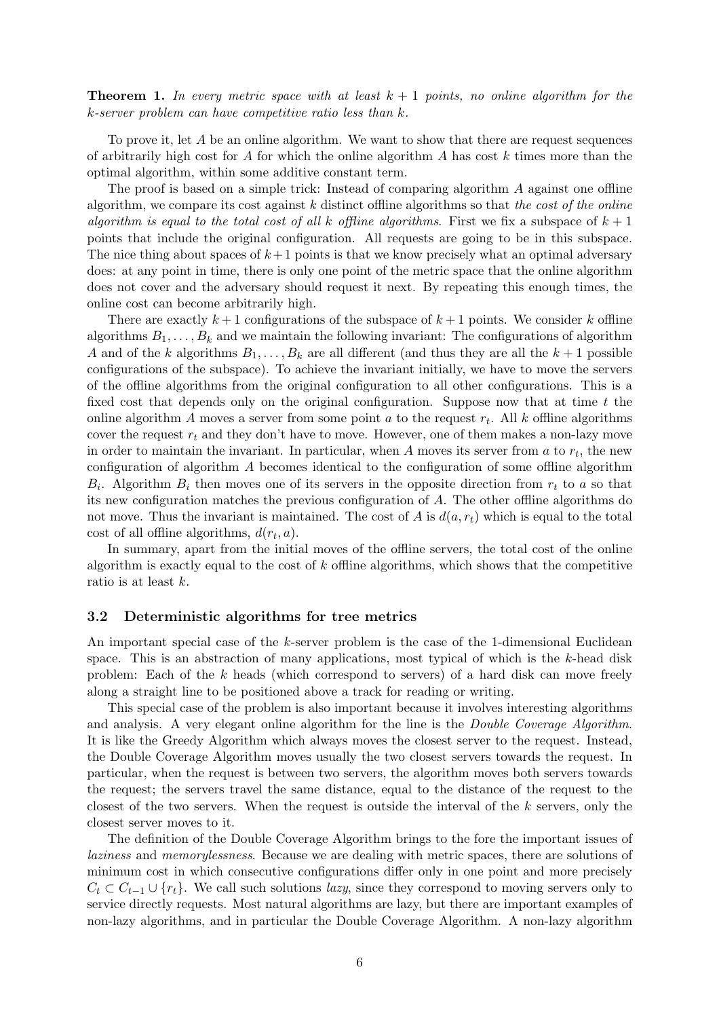**Theorem 1.** In every metric space with at least  $k + 1$  points, no online algorithm for the k-server problem can have competitive ratio less than k.

To prove it, let  $A$  be an online algorithm. We want to show that there are request sequences of arbitrarily high cost for A for which the online algorithm A has cost  $k$  times more than the optimal algorithm, within some additive constant term.

The proof is based on a simple trick: Instead of comparing algorithm A against one offline algorithm, we compare its cost against  $k$  distinct offline algorithms so that the cost of the online algorithm is equal to the total cost of all k offline algorithms. First we fix a subspace of  $k + 1$ points that include the original configuration. All requests are going to be in this subspace. The nice thing about spaces of  $k+1$  points is that we know precisely what an optimal adversary does: at any point in time, there is only one point of the metric space that the online algorithm does not cover and the adversary should request it next. By repeating this enough times, the online cost can become arbitrarily high.

There are exactly  $k+1$  configurations of the subspace of  $k+1$  points. We consider k offline algorithms  $B_1, \ldots, B_k$  and we maintain the following invariant: The configurations of algorithm A and of the k algorithms  $B_1, \ldots, B_k$  are all different (and thus they are all the  $k+1$  possible configurations of the subspace). To achieve the invariant initially, we have to move the servers of the offline algorithms from the original configuration to all other configurations. This is a fixed cost that depends only on the original configuration. Suppose now that at time  $t$  the online algorithm A moves a server from some point  $a$  to the request  $r_t$ . All  $k$  offline algorithms cover the request  $r_t$  and they don't have to move. However, one of them makes a non-lazy move in order to maintain the invariant. In particular, when A moves its server from a to  $r_t$ , the new configuration of algorithm A becomes identical to the configuration of some offline algorithm  $B_i$ . Algorithm  $B_i$  then moves one of its servers in the opposite direction from  $r_t$  to a so that its new configuration matches the previous configuration of A. The other offline algorithms do not move. Thus the invariant is maintained. The cost of A is  $d(a, r_t)$  which is equal to the total cost of all offline algorithms,  $d(r_t, a)$ .

In summary, apart from the initial moves of the offline servers, the total cost of the online algorithm is exactly equal to the cost of  $k$  offline algorithms, which shows that the competitive ratio is at least k.

#### 3.2 Deterministic algorithms for tree metrics

An important special case of the k-server problem is the case of the 1-dimensional Euclidean space. This is an abstraction of many applications, most typical of which is the  $k$ -head disk problem: Each of the k heads (which correspond to servers) of a hard disk can move freely along a straight line to be positioned above a track for reading or writing.

This special case of the problem is also important because it involves interesting algorithms and analysis. A very elegant online algorithm for the line is the Double Coverage Algorithm. It is like the Greedy Algorithm which always moves the closest server to the request. Instead, the Double Coverage Algorithm moves usually the two closest servers towards the request. In particular, when the request is between two servers, the algorithm moves both servers towards the request; the servers travel the same distance, equal to the distance of the request to the closest of the two servers. When the request is outside the interval of the  $k$  servers, only the closest server moves to it.

The definition of the Double Coverage Algorithm brings to the fore the important issues of laziness and memorylessness. Because we are dealing with metric spaces, there are solutions of minimum cost in which consecutive configurations differ only in one point and more precisely  $C_t \subset C_{t-1} \cup \{r_t\}.$  We call such solutions *lazy*, since they correspond to moving servers only to service directly requests. Most natural algorithms are lazy, but there are important examples of non-lazy algorithms, and in particular the Double Coverage Algorithm. A non-lazy algorithm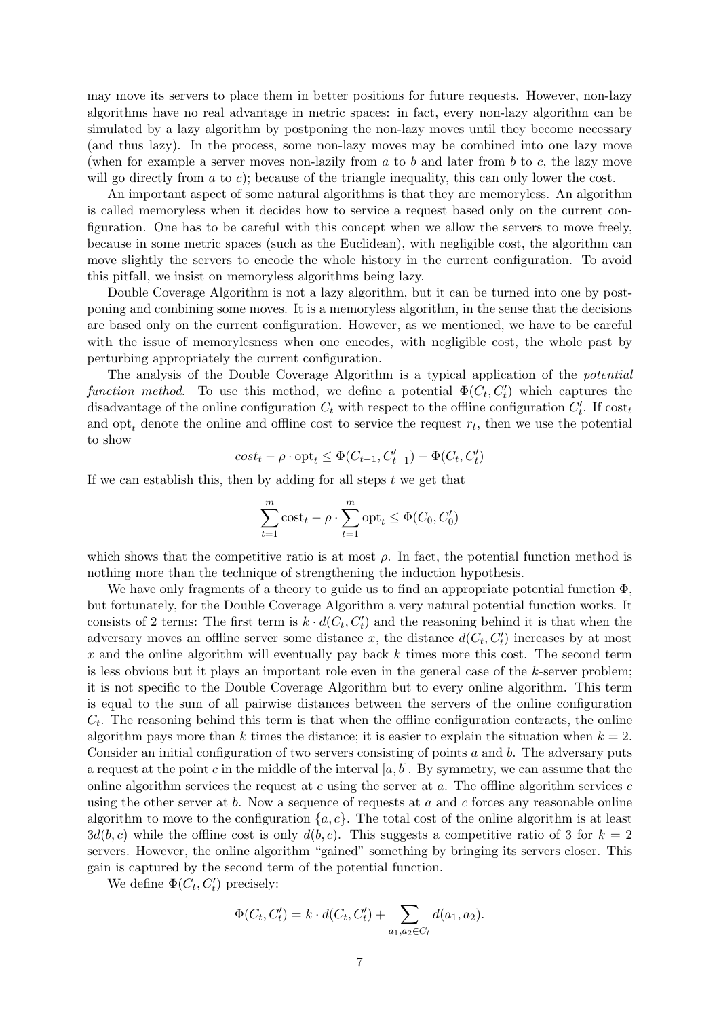may move its servers to place them in better positions for future requests. However, non-lazy algorithms have no real advantage in metric spaces: in fact, every non-lazy algorithm can be simulated by a lazy algorithm by postponing the non-lazy moves until they become necessary (and thus lazy). In the process, some non-lazy moves may be combined into one lazy move (when for example a server moves non-lazily from  $a$  to  $b$  and later from  $b$  to  $c$ , the lazy move will go directly from  $a$  to  $c$ ); because of the triangle inequality, this can only lower the cost.

An important aspect of some natural algorithms is that they are memoryless. An algorithm is called memoryless when it decides how to service a request based only on the current configuration. One has to be careful with this concept when we allow the servers to move freely, because in some metric spaces (such as the Euclidean), with negligible cost, the algorithm can move slightly the servers to encode the whole history in the current configuration. To avoid this pitfall, we insist on memoryless algorithms being lazy.

Double Coverage Algorithm is not a lazy algorithm, but it can be turned into one by postponing and combining some moves. It is a memoryless algorithm, in the sense that the decisions are based only on the current configuration. However, as we mentioned, we have to be careful with the issue of memorylesness when one encodes, with negligible cost, the whole past by perturbing appropriately the current configuration.

The analysis of the Double Coverage Algorithm is a typical application of the potential function method. To use this method, we define a potential  $\Phi(C_t, C'_t)$  which captures the disadvantage of the online configuration  $C_t$  with respect to the offline configuration  $C_t'$ . If  $\text{cost}_t$ and  $\mathrm{opt}_t$  denote the online and offline cost to service the request  $r_t$ , then we use the potential to show

$$
cost_t - \rho \cdot \mathsf{opt}_t \leq \Phi(C_{t-1}, C'_{t-1}) - \Phi(C_t, C'_t)
$$

If we can establish this, then by adding for all steps  $t$  we get that

$$
\sum_{t=1}^{m} \text{cost}_{t} - \rho \cdot \sum_{t=1}^{m} \text{opt}_{t} \leq \Phi(C_0, C'_0)
$$

which shows that the competitive ratio is at most  $\rho$ . In fact, the potential function method is nothing more than the technique of strengthening the induction hypothesis.

We have only fragments of a theory to guide us to find an appropriate potential function  $\Phi$ , but fortunately, for the Double Coverage Algorithm a very natural potential function works. It consists of 2 terms: The first term is  $k \cdot d(C_t, C'_t)$  and the reasoning behind it is that when the adversary moves an offline server some distance x, the distance  $d(C_t, C'_t)$  increases by at most  $x$  and the online algorithm will eventually pay back  $k$  times more this cost. The second term is less obvious but it plays an important role even in the general case of the k-server problem; it is not specific to the Double Coverage Algorithm but to every online algorithm. This term is equal to the sum of all pairwise distances between the servers of the online configuration  $C_t$ . The reasoning behind this term is that when the offline configuration contracts, the online algorithm pays more than k times the distance; it is easier to explain the situation when  $k = 2$ . Consider an initial configuration of two servers consisting of points  $a$  and  $b$ . The adversary puts a request at the point c in the middle of the interval  $[a, b]$ . By symmetry, we can assume that the online algorithm services the request at c using the server at  $a$ . The offline algorithm services  $c$ using the other server at  $b$ . Now a sequence of requests at  $a$  and  $c$  forces any reasonable online algorithm to move to the configuration  $\{a, c\}$ . The total cost of the online algorithm is at least  $3d(b, c)$  while the offline cost is only  $d(b, c)$ . This suggests a competitive ratio of 3 for  $k = 2$ servers. However, the online algorithm "gained" something by bringing its servers closer. This gain is captured by the second term of the potential function.

We define  $\Phi(C_t, C_t')$  precisely:

$$
\Phi(C_t, C'_t) = k \cdot d(C_t, C'_t) + \sum_{a_1, a_2 \in C_t} d(a_1, a_2).
$$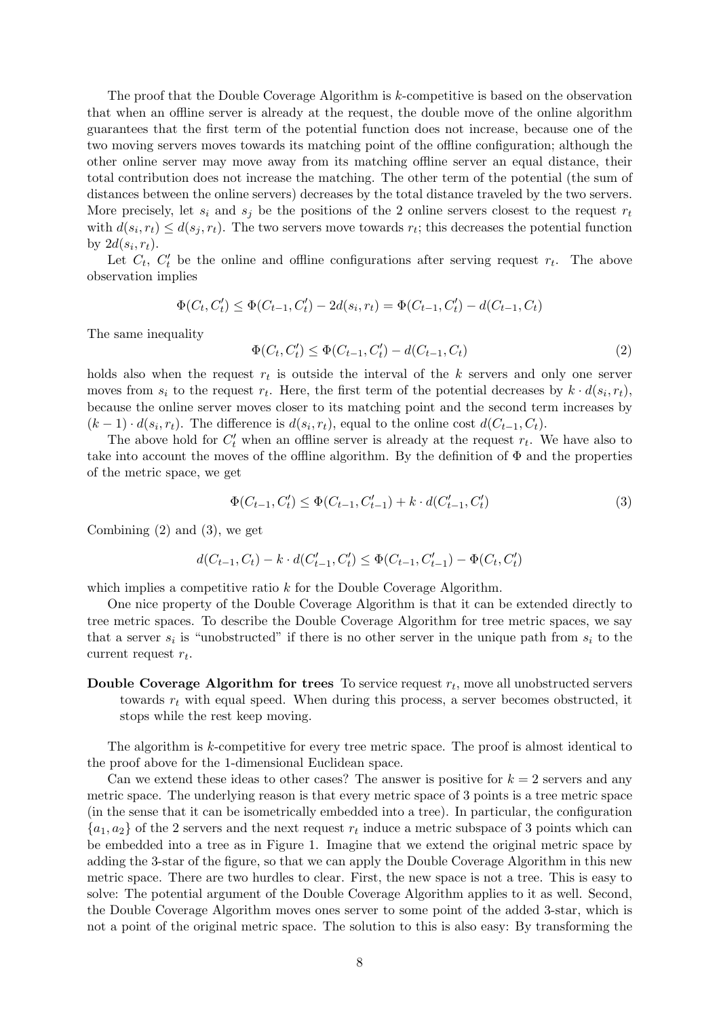The proof that the Double Coverage Algorithm is k-competitive is based on the observation that when an offline server is already at the request, the double move of the online algorithm guarantees that the first term of the potential function does not increase, because one of the two moving servers moves towards its matching point of the offline configuration; although the other online server may move away from its matching offline server an equal distance, their total contribution does not increase the matching. The other term of the potential (the sum of distances between the online servers) decreases by the total distance traveled by the two servers. More precisely, let  $s_i$  and  $s_j$  be the positions of the 2 online servers closest to the request  $r_t$ with  $d(s_i, r_t) \leq d(s_j, r_t)$ . The two servers move towards  $r_t$ ; this decreases the potential function by  $2d(s_i,r_t)$ .

Let  $C_t$ ,  $C'_t$  be the online and offline configurations after serving request  $r_t$ . The above observation implies

$$
\Phi(C_t, C'_t) \le \Phi(C_{t-1}, C'_t) - 2d(s_i, r_t) = \Phi(C_{t-1}, C'_t) - d(C_{t-1}, C_t)
$$

The same inequality

$$
\Phi(C_t, C'_t) \le \Phi(C_{t-1}, C'_t) - d(C_{t-1}, C_t)
$$
\n(2)

holds also when the request  $r_t$  is outside the interval of the k servers and only one server moves from  $s_i$  to the request  $r_t$ . Here, the first term of the potential decreases by  $k \cdot d(s_i, r_t)$ , because the online server moves closer to its matching point and the second term increases by  $(k-1) \cdot d(s_i, r_t)$ . The difference is  $d(s_i, r_t)$ , equal to the online cost  $d(C_{t-1}, C_t)$ .

The above hold for  $C_t'$  when an offline server is already at the request  $r_t$ . We have also to take into account the moves of the offline algorithm. By the definition of Φ and the properties of the metric space, we get

$$
\Phi(C_{t-1}, C_t') \le \Phi(C_{t-1}, C_{t-1}') + k \cdot d(C_{t-1}', C_t')
$$
\n(3)

Combining (2) and (3), we get

$$
d(C_{t-1}, C_t) - k \cdot d(C'_{t-1}, C'_t) \le \Phi(C_{t-1}, C'_{t-1}) - \Phi(C_t, C'_t)
$$

which implies a competitive ratio k for the Double Coverage Algorithm.

One nice property of the Double Coverage Algorithm is that it can be extended directly to tree metric spaces. To describe the Double Coverage Algorithm for tree metric spaces, we say that a server  $s_i$  is "unobstructed" if there is no other server in the unique path from  $s_i$  to the current request  $r_t$ .

Double Coverage Algorithm for trees To service request  $r_t$ , move all unobstructed servers towards  $r_t$  with equal speed. When during this process, a server becomes obstructed, it stops while the rest keep moving.

The algorithm is k-competitive for every tree metric space. The proof is almost identical to the proof above for the 1-dimensional Euclidean space.

Can we extend these ideas to other cases? The answer is positive for  $k = 2$  servers and any metric space. The underlying reason is that every metric space of 3 points is a tree metric space (in the sense that it can be isometrically embedded into a tree). In particular, the configuration  ${a_1, a_2}$  of the 2 servers and the next request  $r_t$  induce a metric subspace of 3 points which can be embedded into a tree as in Figure 1. Imagine that we extend the original metric space by adding the 3-star of the figure, so that we can apply the Double Coverage Algorithm in this new metric space. There are two hurdles to clear. First, the new space is not a tree. This is easy to solve: The potential argument of the Double Coverage Algorithm applies to it as well. Second, the Double Coverage Algorithm moves ones server to some point of the added 3-star, which is not a point of the original metric space. The solution to this is also easy: By transforming the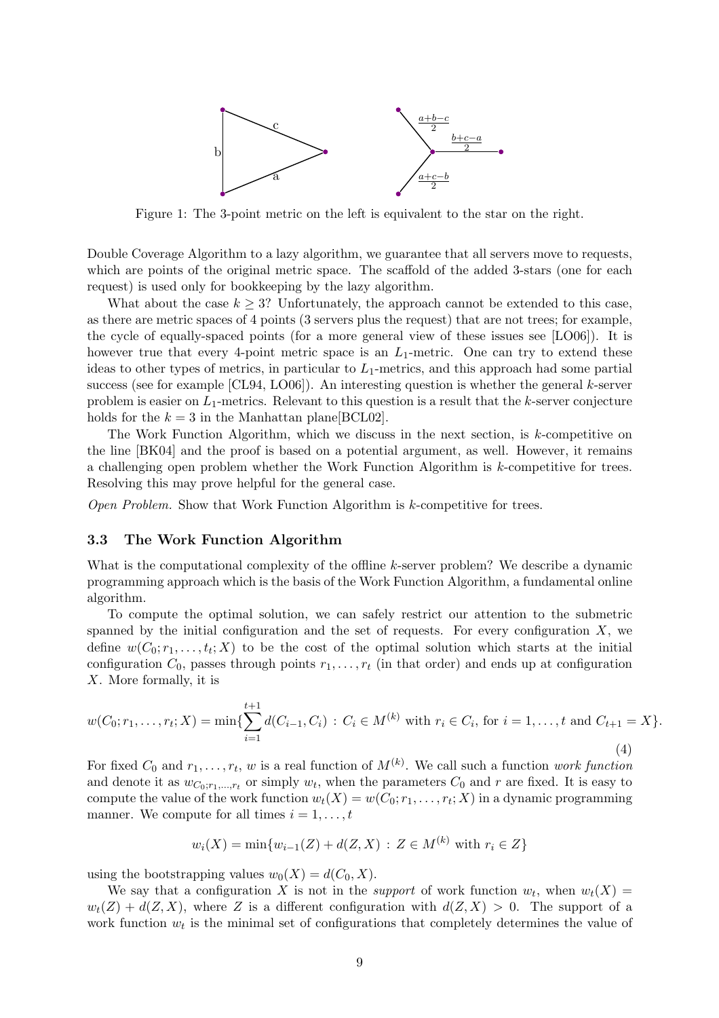

Figure 1: The 3-point metric on the left is equivalent to the star on the right.

Double Coverage Algorithm to a lazy algorithm, we guarantee that all servers move to requests, which are points of the original metric space. The scaffold of the added 3-stars (one for each request) is used only for bookkeeping by the lazy algorithm.

What about the case  $k \geq 3$ ? Unfortunately, the approach cannot be extended to this case, as there are metric spaces of 4 points (3 servers plus the request) that are not trees; for example, the cycle of equally-spaced points (for a more general view of these issues see [LO06]). It is however true that every 4-point metric space is an  $L_1$ -metric. One can try to extend these ideas to other types of metrics, in particular to  $L_1$ -metrics, and this approach had some partial success (see for example  $[CL94, L006]$ ). An interesting question is whether the general k-server problem is easier on  $L_1$ -metrics. Relevant to this question is a result that the k-server conjecture holds for the  $k = 3$  in the Manhattan plane [BCL02].

The Work Function Algorithm, which we discuss in the next section, is  $k$ -competitive on the line [BK04] and the proof is based on a potential argument, as well. However, it remains a challenging open problem whether the Work Function Algorithm is k-competitive for trees. Resolving this may prove helpful for the general case.

Open Problem. Show that Work Function Algorithm is k-competitive for trees.

#### 3.3 The Work Function Algorithm

What is the computational complexity of the offline k-server problem? We describe a dynamic programming approach which is the basis of the Work Function Algorithm, a fundamental online algorithm.

To compute the optimal solution, we can safely restrict our attention to the submetric spanned by the initial configuration and the set of requests. For every configuration  $X$ , we define  $w(C_0; r_1, \ldots, t_t; X)$  to be the cost of the optimal solution which starts at the initial configuration  $C_0$ , passes through points  $r_1, \ldots, r_t$  (in that order) and ends up at configuration X. More formally, it is

$$
w(C_0; r_1, \dots, r_t; X) = \min\{\sum_{i=1}^{t+1} d(C_{i-1}, C_i) : C_i \in M^{(k)} \text{ with } r_i \in C_i \text{, for } i = 1, \dots, t \text{ and } C_{t+1} = X\}.
$$
\n(4)

For fixed  $C_0$  and  $r_1, \ldots, r_t$ , w is a real function of  $M^{(k)}$ . We call such a function work function and denote it as  $w_{C_0;r_1,\dots,r_t}$  or simply  $w_t$ , when the parameters  $C_0$  and r are fixed. It is easy to compute the value of the work function  $w_t(X) = w(C_0; r_1, \ldots, r_t; X)$  in a dynamic programming manner. We compute for all times  $i = 1, \ldots, t$ 

$$
w_i(X) = \min\{w_{i-1}(Z) + d(Z, X) : Z \in M^{(k)} \text{ with } r_i \in Z\}
$$

using the bootstrapping values  $w_0(X) = d(C_0, X)$ .

We say that a configuration X is not in the *support* of work function  $w_t$ , when  $w_t(X) =$  $w_t(Z) + d(Z, X)$ , where Z is a different configuration with  $d(Z, X) > 0$ . The support of a work function  $w_t$  is the minimal set of configurations that completely determines the value of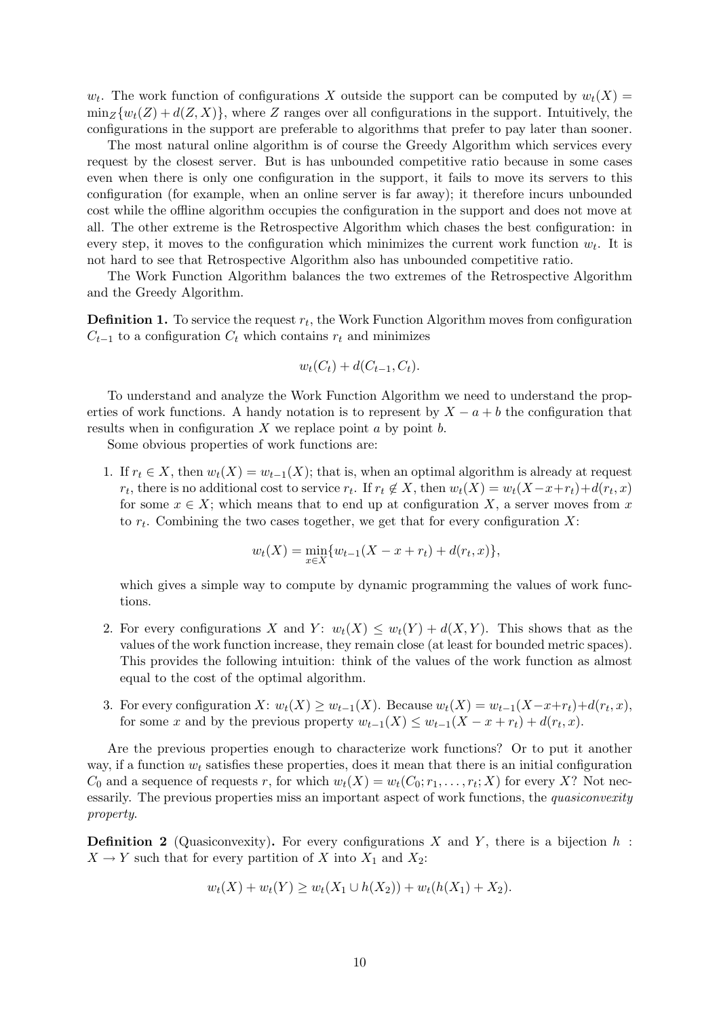$w_t$ . The work function of configurations X outside the support can be computed by  $w_t(X) =$  $\min_Z \{w_t(Z) + d(Z, X)\}\$ , where Z ranges over all configurations in the support. Intuitively, the configurations in the support are preferable to algorithms that prefer to pay later than sooner.

The most natural online algorithm is of course the Greedy Algorithm which services every request by the closest server. But is has unbounded competitive ratio because in some cases even when there is only one configuration in the support, it fails to move its servers to this configuration (for example, when an online server is far away); it therefore incurs unbounded cost while the offline algorithm occupies the configuration in the support and does not move at all. The other extreme is the Retrospective Algorithm which chases the best configuration: in every step, it moves to the configuration which minimizes the current work function  $w_t$ . It is not hard to see that Retrospective Algorithm also has unbounded competitive ratio.

The Work Function Algorithm balances the two extremes of the Retrospective Algorithm and the Greedy Algorithm.

**Definition 1.** To service the request  $r_t$ , the Work Function Algorithm moves from configuration  $C_{t-1}$  to a configuration  $C_t$  which contains  $r_t$  and minimizes

$$
w_t(C_t) + d(C_{t-1}, C_t).
$$

To understand and analyze the Work Function Algorithm we need to understand the properties of work functions. A handy notation is to represent by  $X - a + b$  the configuration that results when in configuration  $X$  we replace point  $a$  by point  $b$ .

Some obvious properties of work functions are:

1. If  $r_t \in X$ , then  $w_t(X) = w_{t-1}(X)$ ; that is, when an optimal algorithm is already at request  $r_t$ , there is no additional cost to service  $r_t$ . If  $r_t \notin X$ , then  $w_t(X) = w_t(X - x + r_t) + d(r_t, x)$ for some  $x \in X$ ; which means that to end up at configuration X, a server moves from x to  $r_t$ . Combining the two cases together, we get that for every configuration X:

$$
w_t(X) = \min_{x \in X} \{ w_{t-1}(X - x + r_t) + d(r_t, x) \},\
$$

which gives a simple way to compute by dynamic programming the values of work functions.

- 2. For every configurations X and Y:  $w_t(X) \leq w_t(Y) + d(X, Y)$ . This shows that as the values of the work function increase, they remain close (at least for bounded metric spaces). This provides the following intuition: think of the values of the work function as almost equal to the cost of the optimal algorithm.
- 3. For every configuration  $X: w_t(X) \ge w_{t-1}(X)$ . Because  $w_t(X) = w_{t-1}(X-x+r_t) + d(r_t, x)$ , for some x and by the previous property  $w_{t-1}(X) \leq w_{t-1}(X - x + r_t) + d(r_t, x)$ .

Are the previous properties enough to characterize work functions? Or to put it another way, if a function  $w_t$  satisfies these properties, does it mean that there is an initial configuration  $C_0$  and a sequence of requests r, for which  $w_t(X) = w_t(C_0; r_1, \ldots, r_t; X)$  for every X? Not necessarily. The previous properties miss an important aspect of work functions, the *quasiconvexity* property.

**Definition 2** (Quasiconvexity). For every configurations X and Y, there is a bijection h:  $X \to Y$  such that for every partition of X into  $X_1$  and  $X_2$ :

$$
w_t(X) + w_t(Y) \ge w_t(X_1 \cup h(X_2)) + w_t(h(X_1) + X_2).
$$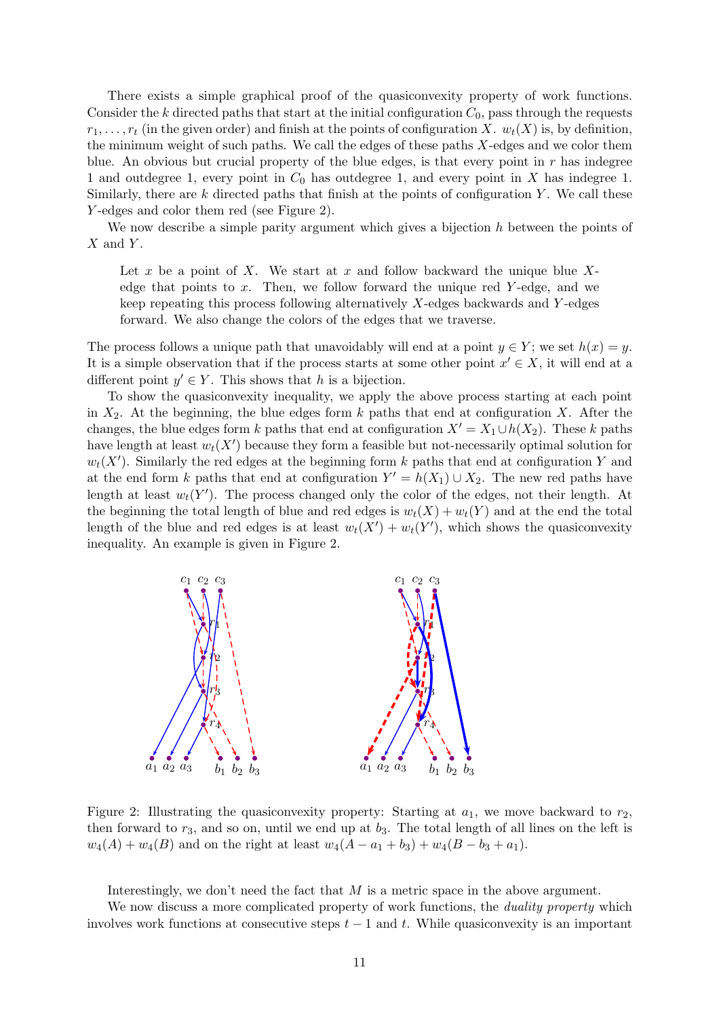There exists a simple graphical proof of the quasiconvexity property of work functions. Consider the k directed paths that start at the initial configuration  $C_0$ , pass through the requests  $r_1, \ldots, r_t$  (in the given order) and finish at the points of configuration X.  $w_t(X)$  is, by definition, the minimum weight of such paths. We call the edges of these paths X-edges and we color them blue. An obvious but crucial property of the blue edges, is that every point in  $r$  has indegree 1 and outdegree 1, every point in  $C_0$  has outdegree 1, and every point in X has indegree 1. Similarly, there are  $k$  directed paths that finish at the points of configuration  $Y$ . We call these Y -edges and color them red (see Figure 2).

We now describe a simple parity argument which gives a bijection  $h$  between the points of  $X$  and  $Y$ .

Let x be a point of X. We start at x and follow backward the unique blue  $X$ edge that points to x. Then, we follow forward the unique red Y-edge, and we keep repeating this process following alternatively X-edges backwards and Y -edges forward. We also change the colors of the edges that we traverse.

The process follows a unique path that unavoidably will end at a point  $y \in Y$ ; we set  $h(x) = y$ . It is a simple observation that if the process starts at some other point  $x' \in X$ , it will end at a different point  $y' \in Y$ . This shows that h is a bijection.

To show the quasiconvexity inequality, we apply the above process starting at each point in  $X_2$ . At the beginning, the blue edges form k paths that end at configuration X. After the changes, the blue edges form k paths that end at configuration  $X' = X_1 \cup h(X_2)$ . These k paths have length at least  $w_t(X')$  because they form a feasible but not-necessarily optimal solution for  $w_t(X')$ . Similarly the red edges at the beginning form k paths that end at configuration Y and at the end form k paths that end at configuration  $Y' = h(X_1) \cup X_2$ . The new red paths have length at least  $w_t(Y')$ . The process changed only the color of the edges, not their length. At the beginning the total length of blue and red edges is  $w_t(X) + w_t(Y)$  and at the end the total length of the blue and red edges is at least  $w_t(X') + w_t(Y')$ , which shows the quasiconvexity inequality. An example is given in Figure 2.



Figure 2: Illustrating the quasiconvexity property: Starting at  $a_1$ , we move backward to  $r_2$ , then forward to  $r_3$ , and so on, until we end up at  $b_3$ . The total length of all lines on the left is  $w_4(A) + w_4(B)$  and on the right at least  $w_4(A - a_1 + b_3) + w_4(B - b_3 + a_1)$ .

Interestingly, we don't need the fact that  $M$  is a metric space in the above argument.

We now discuss a more complicated property of work functions, the *duality property* which involves work functions at consecutive steps  $t - 1$  and t. While quasiconvexity is an important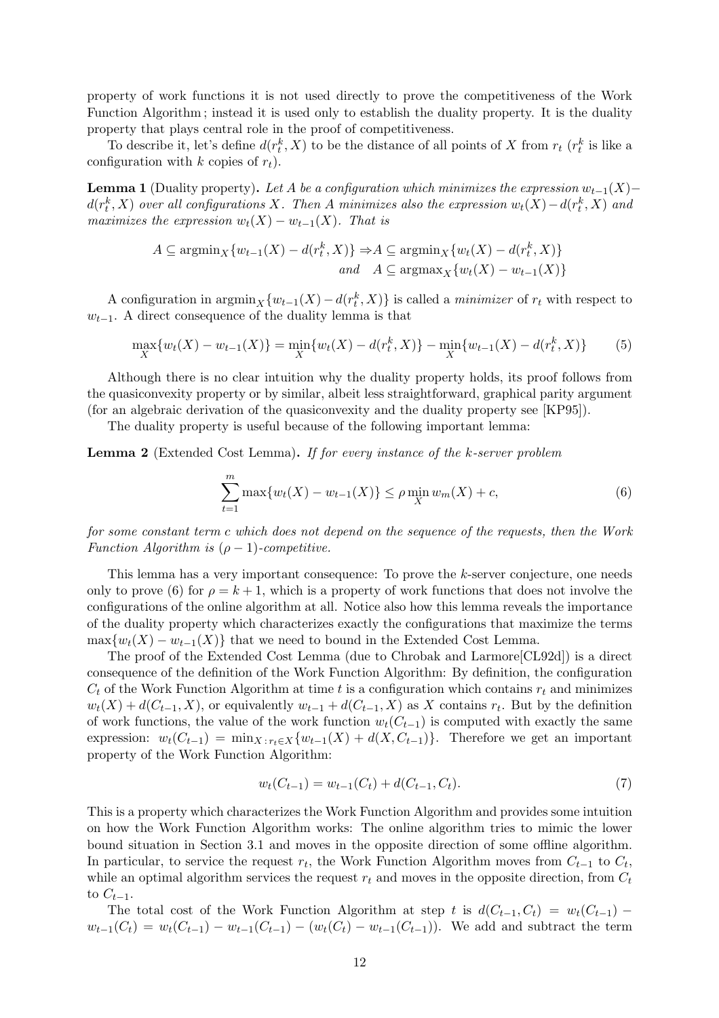property of work functions it is not used directly to prove the competitiveness of the Work Function Algorithm ; instead it is used only to establish the duality property. It is the duality property that plays central role in the proof of competitiveness.

To describe it, let's define  $d(r_t^k, X)$  to be the distance of all points of X from  $r_t$   $(r_t^k$  is like a configuration with k copies of  $r_t$ ).

**Lemma 1** (Duality property). Let A be a configuration which minimizes the expression  $w_{t-1}(X)$ −  $d(r^k_t, X)$  over all configurations X. Then A minimizes also the expression  $w_t(X) - d(r^k_t, X)$  and maximizes the expression  $w_t(X) - w_{t-1}(X)$ . That is

$$
A \subseteq \operatorname{argmin}_{X} \{w_{t-1}(X) - d(r_t^k, X)\} \Rightarrow A \subseteq \operatorname{argmin}_{X} \{w_t(X) - d(r_t^k, X)\}
$$
  
and 
$$
A \subseteq \operatorname{argmax}_{X} \{w_t(X) - w_{t-1}(X)\}
$$

A configuration in  $\arg\min_{X} \{w_{t-1}(X) - d(r_t^k, X)\}\$ is called a *minimizer* of  $r_t$  with respect to  $w_{t-1}$ . A direct consequence of the duality lemma is that

$$
\max_{X} \{ w_t(X) - w_{t-1}(X) \} = \min_{X} \{ w_t(X) - d(r_t^k, X) \} - \min_{X} \{ w_{t-1}(X) - d(r_t^k, X) \}
$$
(5)

Although there is no clear intuition why the duality property holds, its proof follows from the quasiconvexity property or by similar, albeit less straightforward, graphical parity argument (for an algebraic derivation of the quasiconvexity and the duality property see [KP95]).

The duality property is useful because of the following important lemma:

Lemma 2 (Extended Cost Lemma). If for every instance of the k-server problem

$$
\sum_{t=1}^{m} \max\{w_t(X) - w_{t-1}(X)\} \le \rho \min_{X} w_m(X) + c,\tag{6}
$$

for some constant term c which does not depend on the sequence of the requests, then the Work Function Algorithm is  $(\rho - 1)$ -competitive.

This lemma has a very important consequence: To prove the k-server conjecture, one needs only to prove (6) for  $\rho = k + 1$ , which is a property of work functions that does not involve the configurations of the online algorithm at all. Notice also how this lemma reveals the importance of the duality property which characterizes exactly the configurations that maximize the terms  $\max\{w_t(X) - w_{t-1}(X)\}\)$  that we need to bound in the Extended Cost Lemma.

The proof of the Extended Cost Lemma (due to Chrobak and Larmore[CL92d]) is a direct consequence of the definition of the Work Function Algorithm: By definition, the configuration  $C_t$  of the Work Function Algorithm at time t is a configuration which contains  $r_t$  and minimizes  $w_t(X) + d(C_{t-1}, X)$ , or equivalently  $w_{t-1} + d(C_{t-1}, X)$  as X contains  $r_t$ . But by the definition of work functions, the value of the work function  $w_t(C_{t-1})$  is computed with exactly the same expression:  $w_t(C_{t-1}) = \min_{X : r_t \in X} \{w_{t-1}(X) + d(X, C_{t-1})\}.$  Therefore we get an important property of the Work Function Algorithm:

$$
w_t(C_{t-1}) = w_{t-1}(C_t) + d(C_{t-1}, C_t).
$$
\n<sup>(7)</sup>

This is a property which characterizes the Work Function Algorithm and provides some intuition on how the Work Function Algorithm works: The online algorithm tries to mimic the lower bound situation in Section 3.1 and moves in the opposite direction of some offline algorithm. In particular, to service the request  $r_t$ , the Work Function Algorithm moves from  $C_{t-1}$  to  $C_t$ , while an optimal algorithm services the request  $r_t$  and moves in the opposite direction, from  $C_t$ to  $C_{t-1}$ .

The total cost of the Work Function Algorithm at step t is  $d(C_{t-1}, C_t) = w_t(C_{t-1})$  –  $w_{t-1}(C_t) = w_t(C_{t-1}) - w_{t-1}(C_{t-1}) - (w_t(C_t) - w_{t-1}(C_{t-1}))$ . We add and subtract the term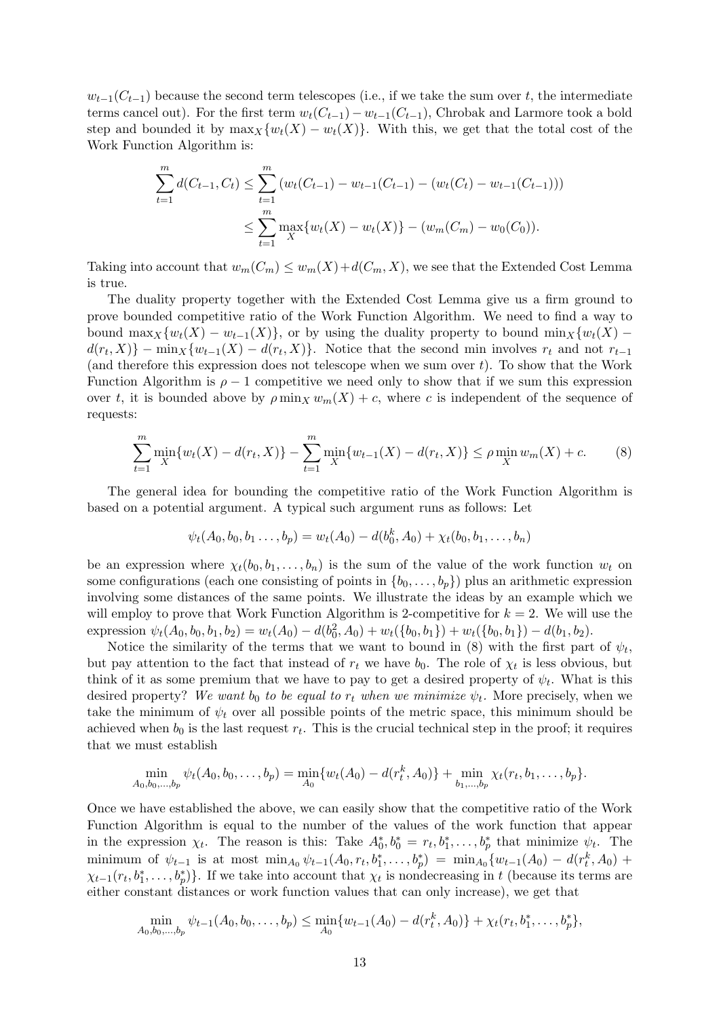$w_{t-1}(C_{t-1})$  because the second term telescopes (i.e., if we take the sum over t, the intermediate terms cancel out). For the first term  $w_t(C_{t-1})-w_{t-1}(C_{t-1})$ , Chrobak and Larmore took a bold step and bounded it by  $\max_{X} \{w_t(X) - w_t(X)\}\$ . With this, we get that the total cost of the Work Function Algorithm is:

$$
\sum_{t=1}^{m} d(C_{t-1}, C_t) \leq \sum_{t=1}^{m} (w_t(C_{t-1}) - w_{t-1}(C_{t-1}) - (w_t(C_t) - w_{t-1}(C_{t-1})))
$$
  

$$
\leq \sum_{t=1}^{m} \max_{X} \{w_t(X) - w_t(X)\} - (w_m(C_m) - w_0(C_0)).
$$

Taking into account that  $w_m(C_m) \leq w_m(X) + d(C_m, X)$ , we see that the Extended Cost Lemma is true.

The duality property together with the Extended Cost Lemma give us a firm ground to prove bounded competitive ratio of the Work Function Algorithm. We need to find a way to bound max<sub>X</sub>{w<sub>t</sub>(X) – w<sub>t−1</sub>(X)}, or by using the duality property to bound min<sub>X</sub>{w<sub>t</sub>(X) –  $d(r_t, X)$  –  $\min_X \{w_{t-1}(X) - d(r_t, X)\}.$  Notice that the second min involves  $r_t$  and not  $r_{t-1}$ (and therefore this expression does not telescope when we sum over  $t$ ). To show that the Work Function Algorithm is  $\rho - 1$  competitive we need only to show that if we sum this expression over t, it is bounded above by  $\rho \min_X w_m(X) + c$ , where c is independent of the sequence of requests:

$$
\sum_{t=1}^{m} \min_{X} \{ w_t(X) - d(r_t, X) \} - \sum_{t=1}^{m} \min_{X} \{ w_{t-1}(X) - d(r_t, X) \} \le \rho \min_{X} w_m(X) + c. \tag{8}
$$

The general idea for bounding the competitive ratio of the Work Function Algorithm is based on a potential argument. A typical such argument runs as follows: Let

$$
\psi_t(A_0, b_0, b_1 \ldots, b_p) = w_t(A_0) - d(b_0^k, A_0) + \chi_t(b_0, b_1, \ldots, b_n)
$$

be an expression where  $\chi_t(b_0, b_1, \ldots, b_n)$  is the sum of the value of the work function  $w_t$  on some configurations (each one consisting of points in  $\{b_0, \ldots, b_p\}$ ) plus an arithmetic expression involving some distances of the same points. We illustrate the ideas by an example which we will employ to prove that Work Function Algorithm is 2-competitive for  $k = 2$ . We will use the expression  $\psi_t(A_0, b_0, b_1, b_2) = w_t(A_0) - d(b_0^2, A_0) + w_t(\{b_0, b_1\}) + w_t(\{b_0, b_1\}) - d(b_1, b_2).$ 

Notice the similarity of the terms that we want to bound in  $(8)$  with the first part of  $\psi_t$ , but pay attention to the fact that instead of  $r_t$  we have  $b_0$ . The role of  $\chi_t$  is less obvious, but think of it as some premium that we have to pay to get a desired property of  $\psi_t$ . What is this desired property? We want  $b_0$  to be equal to  $r_t$  when we minimize  $\psi_t$ . More precisely, when we take the minimum of  $\psi_t$  over all possible points of the metric space, this minimum should be achieved when  $b_0$  is the last request  $r_t$ . This is the crucial technical step in the proof; it requires that we must establish

$$
\min_{A_0,b_0,...,b_p} \psi_t(A_0,b_0,...,b_p) = \min_{A_0} \{w_t(A_0) - d(r_t^k,A_0)\} + \min_{b_1,...,b_p} \chi_t(r_t,b_1,...,b_p).
$$

Once we have established the above, we can easily show that the competitive ratio of the Work Function Algorithm is equal to the number of the values of the work function that appear in the expression  $\chi_t$ . The reason is this: Take  $A_0^*, b_0^* = r_t, b_1^*, \ldots, b_p^*$  that minimize  $\psi_t$ . The minimum of  $\psi_{t-1}$  is at most  $\min_{A_0} \psi_{t-1}(A_0, r_t, b_1^*, \ldots, b_p^*) = \min_{A_0} \{w_{t-1}(A_0) - d(r_t^k, A_0) +$  $\chi_{t-1}(r_t, b_1^*, \ldots, b_p^*)\}$ . If we take into account that  $\chi_t$  is nondecreasing in t (because its terms are either constant distances or work function values that can only increase), we get that

$$
\min_{A_0,b_0,...,b_p} \psi_{t-1}(A_0,b_0,...,b_p) \leq \min_{A_0} \{w_{t-1}(A_0) - d(r_t^k,A_0)\} + \chi_t(r_t,b_1^*,...,b_p^*)
$$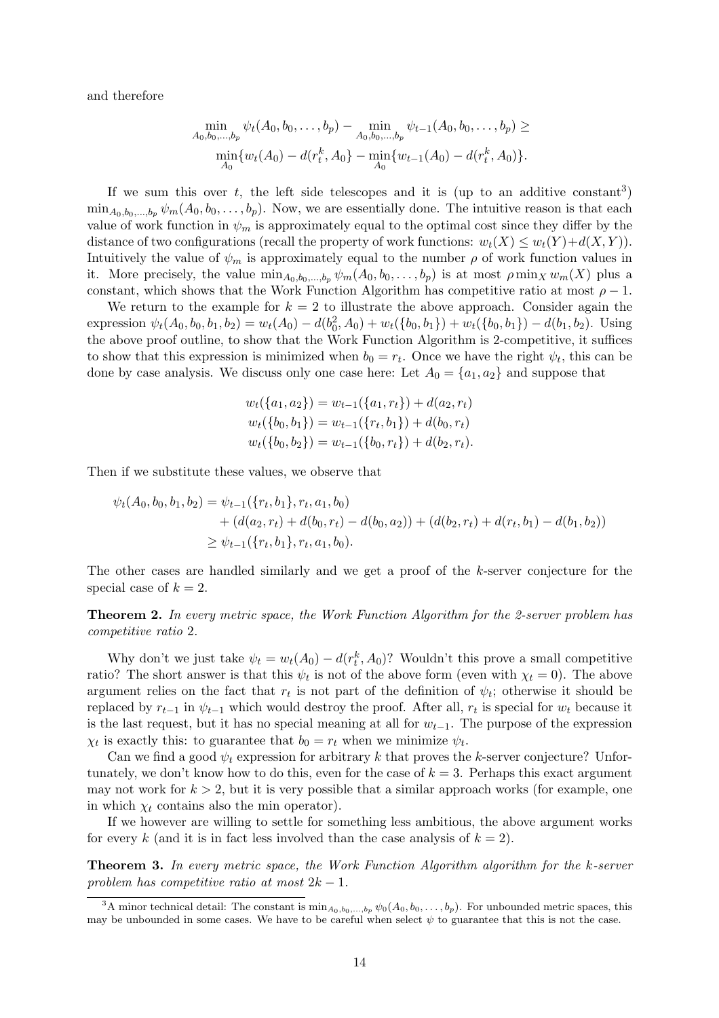and therefore

$$
\min_{A_0, b_0, \dots, b_p} \psi_t(A_0, b_0, \dots, b_p) - \min_{A_0, b_0, \dots, b_p} \psi_{t-1}(A_0, b_0, \dots, b_p) \ge
$$
  

$$
\min_{A_0} \{w_t(A_0) - d(r_t^k, A_0\} - \min_{A_0} \{w_{t-1}(A_0) - d(r_t^k, A_0)\}.
$$

If we sum this over t, the left side telescopes and it is (up to an additive constant<sup>3</sup>)  $\min_{A_0,b_0,...,b_n} \psi_m(A_0,b_0,...,b_p)$ . Now, we are essentially done. The intuitive reason is that each value of work function in  $\psi_m$  is approximately equal to the optimal cost since they differ by the distance of two configurations (recall the property of work functions:  $w_t(X) \leq w_t(Y) + d(X, Y)$ ). Intuitively the value of  $\psi_m$  is approximately equal to the number  $\rho$  of work function values in it. More precisely, the value  $\min_{A_0,b_0,\dots,b_p} \psi_m(A_0,b_0,\dots,b_p)$  is at most  $\rho \min_X w_m(X)$  plus a constant, which shows that the Work Function Algorithm has competitive ratio at most  $\rho - 1$ .

We return to the example for  $k = 2$  to illustrate the above approach. Consider again the expression  $\psi_t(A_0, b_0, b_1, b_2) = w_t(A_0) - d(b_0^2, A_0) + w_t(\{b_0, b_1\}) + w_t(\{b_0, b_1\}) - d(b_1, b_2)$ . Using the above proof outline, to show that the Work Function Algorithm is 2-competitive, it suffices to show that this expression is minimized when  $b_0 = r_t$ . Once we have the right  $\psi_t$ , this can be done by case analysis. We discuss only one case here: Let  $A_0 = \{a_1, a_2\}$  and suppose that

$$
w_t({a_1, a_2}) = w_{t-1}({a_1, r_t}) + d(a_2, r_t)
$$
  
\n
$$
w_t({b_0, b_1}) = w_{t-1}({r_t, b_1}) + d(b_0, r_t)
$$
  
\n
$$
w_t({b_0, b_2}) = w_{t-1}({b_0, r_t}) + d(b_2, r_t).
$$

Then if we substitute these values, we observe that

$$
\psi_t(A_0, b_0, b_1, b_2) = \psi_{t-1}(\{r_t, b_1\}, r_t, a_1, b_0)
$$
  
+ 
$$
(d(a_2, r_t) + d(b_0, r_t) - d(b_0, a_2)) + (d(b_2, r_t) + d(r_t, b_1) - d(b_1, b_2))
$$
  

$$
\geq \psi_{t-1}(\{r_t, b_1\}, r_t, a_1, b_0).
$$

The other cases are handled similarly and we get a proof of the k-server conjecture for the special case of  $k = 2$ .

Theorem 2. In every metric space, the Work Function Algorithm for the 2-server problem has competitive ratio 2.

Why don't we just take  $\psi_t = w_t(A_0) - d(r_t^k, A_0)$ ? Wouldn't this prove a small competitive ratio? The short answer is that this  $\psi_t$  is not of the above form (even with  $\chi_t = 0$ ). The above argument relies on the fact that  $r_t$  is not part of the definition of  $\psi_t$ ; otherwise it should be replaced by  $r_{t-1}$  in  $\psi_{t-1}$  which would destroy the proof. After all,  $r_t$  is special for  $w_t$  because it is the last request, but it has no special meaning at all for  $w_{t-1}$ . The purpose of the expression  $\chi_t$  is exactly this: to guarantee that  $b_0 = r_t$  when we minimize  $\psi_t$ .

Can we find a good  $\psi_t$  expression for arbitrary k that proves the k-server conjecture? Unfortunately, we don't know how to do this, even for the case of  $k = 3$ . Perhaps this exact argument may not work for  $k > 2$ , but it is very possible that a similar approach works (for example, one in which  $\chi_t$  contains also the min operator).

If we however are willing to settle for something less ambitious, the above argument works for every k (and it is in fact less involved than the case analysis of  $k = 2$ ).

Theorem 3. In every metric space, the Work Function Algorithm algorithm for the k-server problem has competitive ratio at most  $2k - 1$ .

<sup>&</sup>lt;sup>3</sup>A minor technical detail: The constant is  $\min_{A_0,b_0,...,b_p} \psi_0(A_0,b_0,...,b_p)$ . For unbounded metric spaces, this may be unbounded in some cases. We have to be careful when select  $\psi$  to guarantee that this is not the case.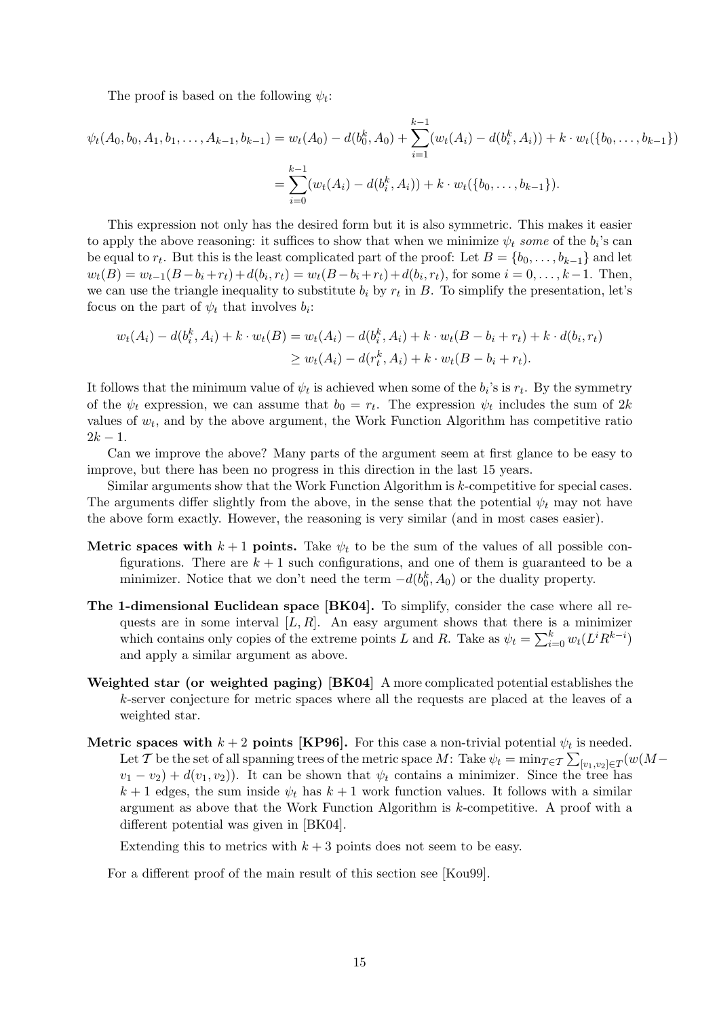The proof is based on the following  $\psi_t$ :

$$
\psi_t(A_0, b_0, A_1, b_1, \dots, A_{k-1}, b_{k-1}) = w_t(A_0) - d(b_0^k, A_0) + \sum_{i=1}^{k-1} (w_t(A_i) - d(b_i^k, A_i)) + k \cdot w_t(\{b_0, \dots, b_{k-1}\})
$$

$$
= \sum_{i=0}^{k-1} (w_t(A_i) - d(b_i^k, A_i)) + k \cdot w_t(\{b_0, \dots, b_{k-1}\}).
$$

This expression not only has the desired form but it is also symmetric. This makes it easier to apply the above reasoning: it suffices to show that when we minimize  $\psi_t$  some of the  $b_i$ 's can be equal to  $r_t$ . But this is the least complicated part of the proof: Let  $B = \{b_0, \ldots, b_{k-1}\}$  and let  $w_t(B) = w_{t-1}(B - b_i + r_t) + d(b_i, r_t) = w_t(B - b_i + r_t) + d(b_i, r_t)$ , for some  $i = 0, \ldots, k-1$ . Then, we can use the triangle inequality to substitute  $b_i$  by  $r_t$  in B. To simplify the presentation, let's focus on the part of  $\psi_t$  that involves  $b_i$ :

$$
w_t(A_i) - d(b_i^k, A_i) + k \cdot w_t(B) = w_t(A_i) - d(b_i^k, A_i) + k \cdot w_t(B - b_i + r_t) + k \cdot d(b_i, r_t)
$$
  
 
$$
\geq w_t(A_i) - d(r_t^k, A_i) + k \cdot w_t(B - b_i + r_t).
$$

It follows that the minimum value of  $\psi_t$  is achieved when some of the  $b_i$ 's is  $r_t$ . By the symmetry of the  $\psi_t$  expression, we can assume that  $b_0 = r_t$ . The expression  $\psi_t$  includes the sum of 2k values of  $w_t$ , and by the above argument, the Work Function Algorithm has competitive ratio  $2k - 1$ .

Can we improve the above? Many parts of the argument seem at first glance to be easy to improve, but there has been no progress in this direction in the last 15 years.

Similar arguments show that the Work Function Algorithm is k-competitive for special cases. The arguments differ slightly from the above, in the sense that the potential  $\psi_t$  may not have the above form exactly. However, the reasoning is very similar (and in most cases easier).

- Metric spaces with  $k+1$  points. Take  $\psi_t$  to be the sum of the values of all possible configurations. There are  $k + 1$  such configurations, and one of them is guaranteed to be a minimizer. Notice that we don't need the term  $-d(b_0^k, A_0)$  or the duality property.
- The 1-dimensional Euclidean space [BK04]. To simplify, consider the case where all requests are in some interval  $[L, R]$ . An easy argument shows that there is a minimizer which contains only copies of the extreme points L and R. Take as  $\psi_t = \sum_{i=0}^k w_t (L^i R^{k-i})$ and apply a similar argument as above.
- Weighted star (or weighted paging) [BK04] A more complicated potential establishes the k-server conjecture for metric spaces where all the requests are placed at the leaves of a weighted star.
- Metric spaces with  $k+2$  points [KP96]. For this case a non-trivial potential  $\psi_t$  is needed. Let  $\mathcal T$  be the set of all spanning trees of the metric space  $M$ : Take  $\psi_t = \min_{T \in \mathcal T} \sum_{[v_1, v_2] \in T} (w(M$  $v_1 - v_2$ ) +  $d(v_1, v_2)$ ). It can be shown that  $\psi_t$  contains a minimizer. Since the tree has  $k+1$  edges, the sum inside  $\psi_t$  has  $k+1$  work function values. It follows with a similar argument as above that the Work Function Algorithm is k-competitive. A proof with a different potential was given in [BK04].

Extending this to metrics with  $k + 3$  points does not seem to be easy.

For a different proof of the main result of this section see [Kou99].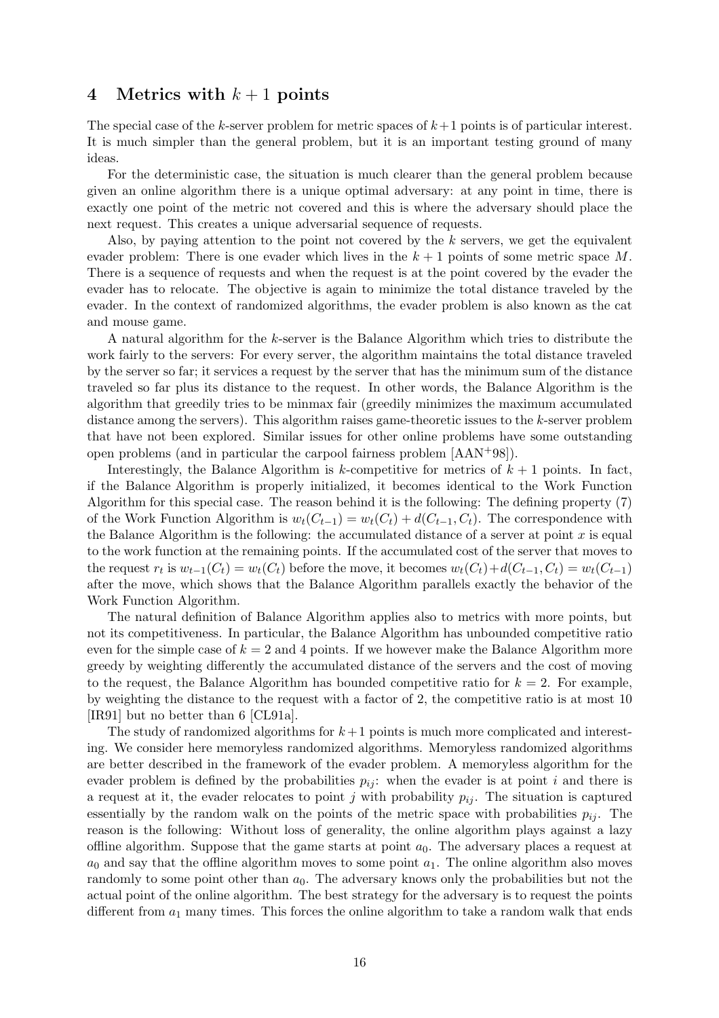### 4 Metrics with  $k+1$  points

The special case of the k-server problem for metric spaces of  $k+1$  points is of particular interest. It is much simpler than the general problem, but it is an important testing ground of many ideas.

For the deterministic case, the situation is much clearer than the general problem because given an online algorithm there is a unique optimal adversary: at any point in time, there is exactly one point of the metric not covered and this is where the adversary should place the next request. This creates a unique adversarial sequence of requests.

Also, by paying attention to the point not covered by the  $k$  servers, we get the equivalent evader problem: There is one evader which lives in the  $k + 1$  points of some metric space M. There is a sequence of requests and when the request is at the point covered by the evader the evader has to relocate. The objective is again to minimize the total distance traveled by the evader. In the context of randomized algorithms, the evader problem is also known as the cat and mouse game.

A natural algorithm for the k-server is the Balance Algorithm which tries to distribute the work fairly to the servers: For every server, the algorithm maintains the total distance traveled by the server so far; it services a request by the server that has the minimum sum of the distance traveled so far plus its distance to the request. In other words, the Balance Algorithm is the algorithm that greedily tries to be minmax fair (greedily minimizes the maximum accumulated distance among the servers). This algorithm raises game-theoretic issues to the  $k$ -server problem that have not been explored. Similar issues for other online problems have some outstanding open problems (and in particular the carpool fairness problem [AAN+98]).

Interestingly, the Balance Algorithm is k-competitive for metrics of  $k + 1$  points. In fact, if the Balance Algorithm is properly initialized, it becomes identical to the Work Function Algorithm for this special case. The reason behind it is the following: The defining property (7) of the Work Function Algorithm is  $w_t(C_{t-1}) = w_t(C_t) + d(C_{t-1}, C_t)$ . The correspondence with the Balance Algorithm is the following: the accumulated distance of a server at point  $x$  is equal to the work function at the remaining points. If the accumulated cost of the server that moves to the request  $r_t$  is  $w_{t-1}(C_t) = w_t(C_t)$  before the move, it becomes  $w_t(C_t) + d(C_{t-1}, C_t) = w_t(C_{t-1})$ after the move, which shows that the Balance Algorithm parallels exactly the behavior of the Work Function Algorithm.

The natural definition of Balance Algorithm applies also to metrics with more points, but not its competitiveness. In particular, the Balance Algorithm has unbounded competitive ratio even for the simple case of  $k = 2$  and 4 points. If we however make the Balance Algorithm more greedy by weighting differently the accumulated distance of the servers and the cost of moving to the request, the Balance Algorithm has bounded competitive ratio for  $k = 2$ . For example, by weighting the distance to the request with a factor of 2, the competitive ratio is at most 10 [IR91] but no better than 6 [CL91a].

The study of randomized algorithms for  $k+1$  points is much more complicated and interesting. We consider here memoryless randomized algorithms. Memoryless randomized algorithms are better described in the framework of the evader problem. A memoryless algorithm for the evader problem is defined by the probabilities  $p_{ij}$ : when the evader is at point i and there is a request at it, the evader relocates to point j with probability  $p_{ij}$ . The situation is captured essentially by the random walk on the points of the metric space with probabilities  $p_{ij}$ . The reason is the following: Without loss of generality, the online algorithm plays against a lazy offline algorithm. Suppose that the game starts at point  $a_0$ . The adversary places a request at  $a_0$  and say that the offline algorithm moves to some point  $a_1$ . The online algorithm also moves randomly to some point other than  $a_0$ . The adversary knows only the probabilities but not the actual point of the online algorithm. The best strategy for the adversary is to request the points different from  $a_1$  many times. This forces the online algorithm to take a random walk that ends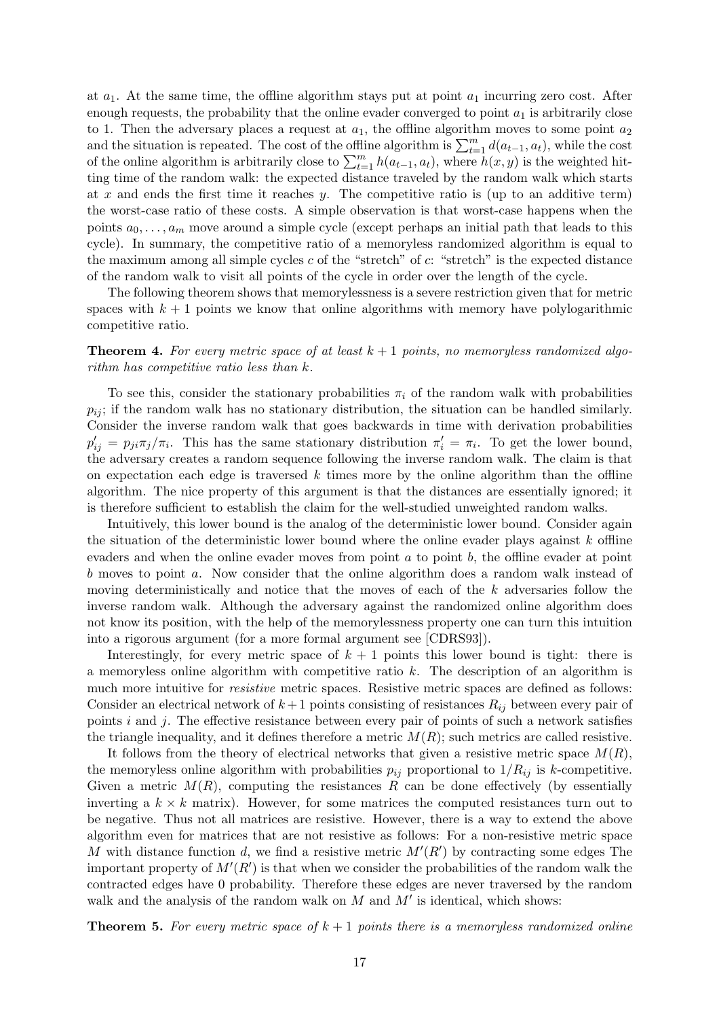at  $a_1$ . At the same time, the offline algorithm stays put at point  $a_1$  incurring zero cost. After enough requests, the probability that the online evader converged to point  $a_1$  is arbitrarily close to 1. Then the adversary places a request at  $a_1$ , the offline algorithm moves to some point  $a_2$ and the situation is repeated. The cost of the offline algorithm is  $\sum_{t=1}^{m} d(a_{t-1}, a_t)$ , while the cost of the online algorithm is arbitrarily close to  $\sum_{t=1}^{m} h(a_{t-1}, a_t)$ , where  $h(x, y)$  is the weighted hitting time of the random walk: the expected distance traveled by the random walk which starts at x and ends the first time it reaches y. The competitive ratio is (up to an additive term) the worst-case ratio of these costs. A simple observation is that worst-case happens when the points  $a_0, \ldots, a_m$  move around a simple cycle (except perhaps an initial path that leads to this cycle). In summary, the competitive ratio of a memoryless randomized algorithm is equal to the maximum among all simple cycles  $c$  of the "stretch" of  $c$ : "stretch" is the expected distance of the random walk to visit all points of the cycle in order over the length of the cycle.

The following theorem shows that memorylessness is a severe restriction given that for metric spaces with  $k + 1$  points we know that online algorithms with memory have polylogarithmic competitive ratio.

**Theorem 4.** For every metric space of at least  $k + 1$  points, no memoryless randomized algorithm has competitive ratio less than k.

To see this, consider the stationary probabilities  $\pi_i$  of the random walk with probabilities  $p_{ij}$ ; if the random walk has no stationary distribution, the situation can be handled similarly. Consider the inverse random walk that goes backwards in time with derivation probabilities  $p'_{ij} = p_{ji}\pi_j/\pi_i$ . This has the same stationary distribution  $\pi'_i = \pi_i$ . To get the lower bound, the adversary creates a random sequence following the inverse random walk. The claim is that on expectation each edge is traversed  $k$  times more by the online algorithm than the offline algorithm. The nice property of this argument is that the distances are essentially ignored; it is therefore sufficient to establish the claim for the well-studied unweighted random walks.

Intuitively, this lower bound is the analog of the deterministic lower bound. Consider again the situation of the deterministic lower bound where the online evader plays against  $k$  offline evaders and when the online evader moves from point  $a$  to point  $b$ , the offline evader at point b moves to point a. Now consider that the online algorithm does a random walk instead of moving deterministically and notice that the moves of each of the  $k$  adversaries follow the inverse random walk. Although the adversary against the randomized online algorithm does not know its position, with the help of the memorylessness property one can turn this intuition into a rigorous argument (for a more formal argument see [CDRS93]).

Interestingly, for every metric space of  $k + 1$  points this lower bound is tight: there is a memoryless online algorithm with competitive ratio  $k$ . The description of an algorithm is much more intuitive for *resistive* metric spaces. Resistive metric spaces are defined as follows: Consider an electrical network of  $k+1$  points consisting of resistances  $R_{ij}$  between every pair of points  $i$  and  $j$ . The effective resistance between every pair of points of such a network satisfies the triangle inequality, and it defines therefore a metric  $M(R)$ ; such metrics are called resistive.

It follows from the theory of electrical networks that given a resistive metric space  $M(R)$ , the memoryless online algorithm with probabilities  $p_{ij}$  proportional to  $1/R_{ij}$  is k-competitive. Given a metric  $M(R)$ , computing the resistances R can be done effectively (by essentially inverting a  $k \times k$  matrix). However, for some matrices the computed resistances turn out to be negative. Thus not all matrices are resistive. However, there is a way to extend the above algorithm even for matrices that are not resistive as follows: For a non-resistive metric space M with distance function d, we find a resistive metric  $M'(R')$  by contracting some edges The important property of  $M'(R')$  is that when we consider the probabilities of the random walk the contracted edges have 0 probability. Therefore these edges are never traversed by the random walk and the analysis of the random walk on  $M$  and  $M'$  is identical, which shows:

**Theorem 5.** For every metric space of  $k + 1$  points there is a memoryless randomized online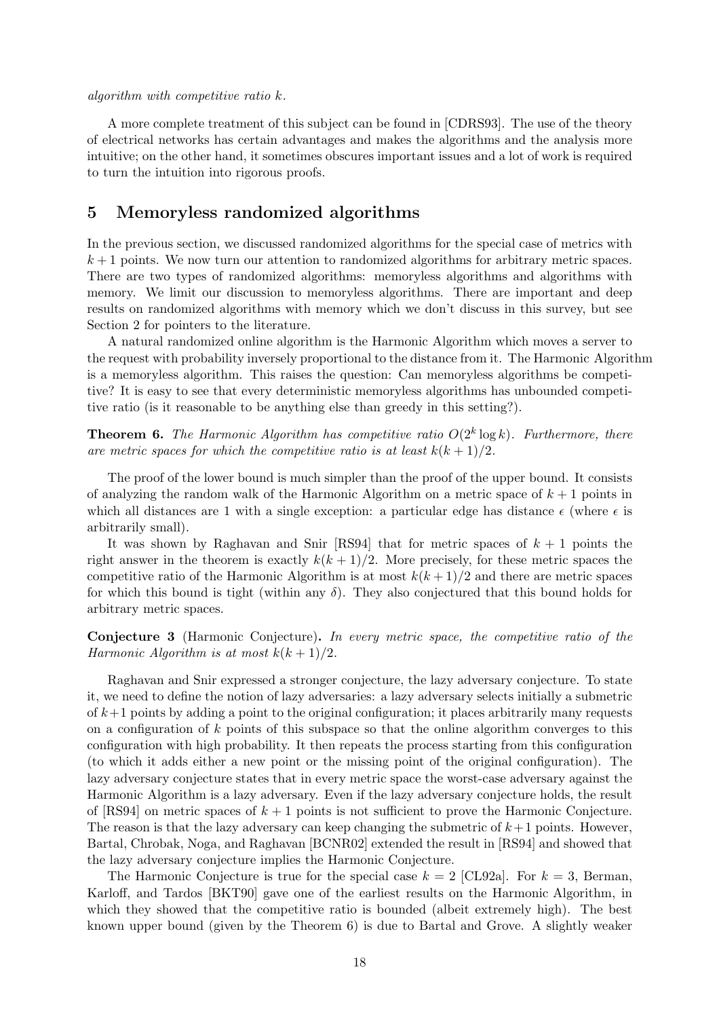#### algorithm with competitive ratio k.

A more complete treatment of this subject can be found in [CDRS93]. The use of the theory of electrical networks has certain advantages and makes the algorithms and the analysis more intuitive; on the other hand, it sometimes obscures important issues and a lot of work is required to turn the intuition into rigorous proofs.

### 5 Memoryless randomized algorithms

In the previous section, we discussed randomized algorithms for the special case of metrics with  $k+1$  points. We now turn our attention to randomized algorithms for arbitrary metric spaces. There are two types of randomized algorithms: memoryless algorithms and algorithms with memory. We limit our discussion to memoryless algorithms. There are important and deep results on randomized algorithms with memory which we don't discuss in this survey, but see Section 2 for pointers to the literature.

A natural randomized online algorithm is the Harmonic Algorithm which moves a server to the request with probability inversely proportional to the distance from it. The Harmonic Algorithm is a memoryless algorithm. This raises the question: Can memoryless algorithms be competitive? It is easy to see that every deterministic memoryless algorithms has unbounded competitive ratio (is it reasonable to be anything else than greedy in this setting?).

**Theorem 6.** The Harmonic Algorithm has competitive ratio  $O(2^k \log k)$ . Furthermore, there are metric spaces for which the competitive ratio is at least  $k(k+1)/2$ .

The proof of the lower bound is much simpler than the proof of the upper bound. It consists of analyzing the random walk of the Harmonic Algorithm on a metric space of  $k + 1$  points in which all distances are 1 with a single exception: a particular edge has distance  $\epsilon$  (where  $\epsilon$  is arbitrarily small).

It was shown by Raghavan and Snir [RS94] that for metric spaces of  $k + 1$  points the right answer in the theorem is exactly  $k(k+1)/2$ . More precisely, for these metric spaces the competitive ratio of the Harmonic Algorithm is at most  $k(k+1)/2$  and there are metric spaces for which this bound is tight (within any  $\delta$ ). They also conjectured that this bound holds for arbitrary metric spaces.

Conjecture 3 (Harmonic Conjecture). In every metric space, the competitive ratio of the Harmonic Algorithm is at most  $k(k + 1)/2$ .

Raghavan and Snir expressed a stronger conjecture, the lazy adversary conjecture. To state it, we need to define the notion of lazy adversaries: a lazy adversary selects initially a submetric of  $k+1$  points by adding a point to the original configuration; it places arbitrarily many requests on a configuration of  $k$  points of this subspace so that the online algorithm converges to this configuration with high probability. It then repeats the process starting from this configuration (to which it adds either a new point or the missing point of the original configuration). The lazy adversary conjecture states that in every metric space the worst-case adversary against the Harmonic Algorithm is a lazy adversary. Even if the lazy adversary conjecture holds, the result of  $[RS94]$  on metric spaces of  $k + 1$  points is not sufficient to prove the Harmonic Conjecture. The reason is that the lazy adversary can keep changing the submetric of  $k+1$  points. However, Bartal, Chrobak, Noga, and Raghavan [BCNR02] extended the result in [RS94] and showed that the lazy adversary conjecture implies the Harmonic Conjecture.

The Harmonic Conjecture is true for the special case  $k = 2$  [CL92a]. For  $k = 3$ , Berman, Karloff, and Tardos [BKT90] gave one of the earliest results on the Harmonic Algorithm, in which they showed that the competitive ratio is bounded (albeit extremely high). The best known upper bound (given by the Theorem 6) is due to Bartal and Grove. A slightly weaker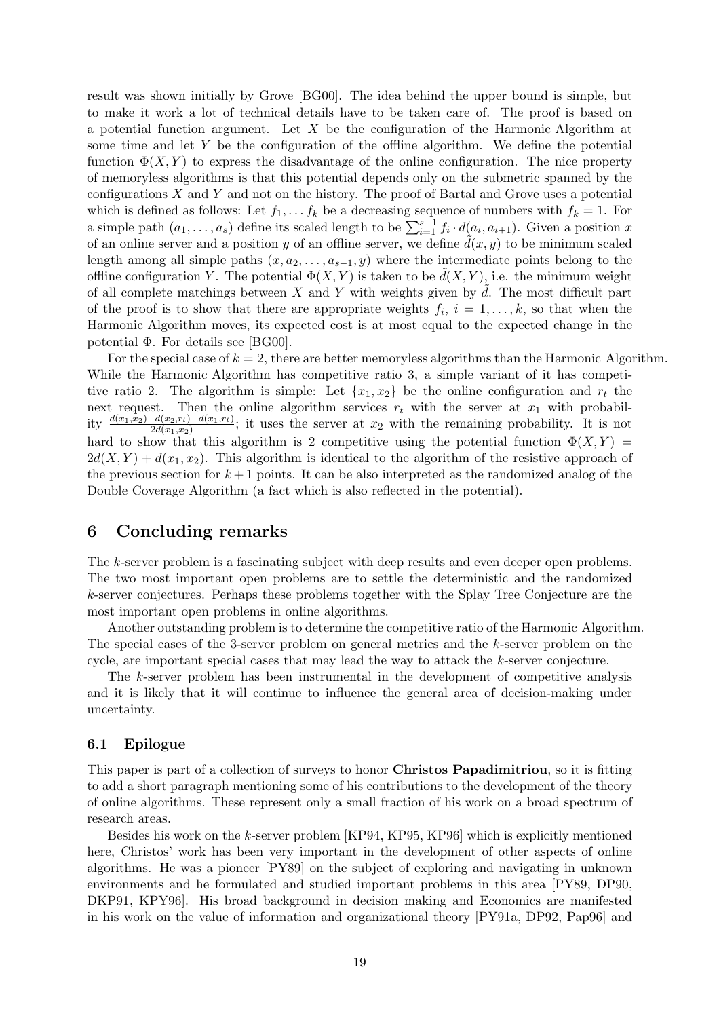result was shown initially by Grove [BG00]. The idea behind the upper bound is simple, but to make it work a lot of technical details have to be taken care of. The proof is based on a potential function argument. Let  $X$  be the configuration of the Harmonic Algorithm at some time and let  $Y$  be the configuration of the offline algorithm. We define the potential function  $\Phi(X, Y)$  to express the disadvantage of the online configuration. The nice property of memoryless algorithms is that this potential depends only on the submetric spanned by the configurations  $X$  and  $Y$  and not on the history. The proof of Bartal and Grove uses a potential which is defined as follows: Let  $f_1, \ldots, f_k$  be a decreasing sequence of numbers with  $f_k = 1$ . For a simple path  $(a_1, \ldots, a_s)$  define its scaled length to be  $\sum_{i=1}^{s-1} f_i \cdot d(a_i, a_{i+1})$ . Given a position x of an online server and a position y of an offline server, we define  $d(x, y)$  to be minimum scaled length among all simple paths  $(x, a_2, \ldots, a_{s-1}, y)$  where the intermediate points belong to the offline configuration Y. The potential  $\Phi(X, Y)$  is taken to be  $\tilde{d}(X, Y)$ , i.e. the minimum weight of all complete matchings between  $X$  and  $Y$  with weights given by  $\tilde{d}$ . The most difficult part of the proof is to show that there are appropriate weights  $f_i$ ,  $i = 1, \ldots, k$ , so that when the Harmonic Algorithm moves, its expected cost is at most equal to the expected change in the potential Φ. For details see [BG00].

For the special case of  $k = 2$ , there are better memoryless algorithms than the Harmonic Algorithm. While the Harmonic Algorithm has competitive ratio 3, a simple variant of it has competitive ratio 2. The algorithm is simple: Let  $\{x_1, x_2\}$  be the online configuration and  $r_t$  the next request. Then the online algorithm services  $r_t$  with the server at  $x_1$  with probability  $\frac{d(x_1,x_2)+d(x_2,r_t)-d(x_1,r_t)}{2d(x_1,x_2)}$ ; it uses the server at  $x_2$  with the remaining probability. It is not hard to show that this algorithm is 2 competitive using the potential function  $\Phi(X, Y)$  =  $2d(X, Y) + d(x_1, x_2)$ . This algorithm is identical to the algorithm of the resistive approach of the previous section for  $k+1$  points. It can be also interpreted as the randomized analog of the Double Coverage Algorithm (a fact which is also reflected in the potential).

### 6 Concluding remarks

The k-server problem is a fascinating subject with deep results and even deeper open problems. The two most important open problems are to settle the deterministic and the randomized k-server conjectures. Perhaps these problems together with the Splay Tree Conjecture are the most important open problems in online algorithms.

Another outstanding problem is to determine the competitive ratio of the Harmonic Algorithm. The special cases of the 3-server problem on general metrics and the k-server problem on the cycle, are important special cases that may lead the way to attack the k-server conjecture.

The k-server problem has been instrumental in the development of competitive analysis and it is likely that it will continue to influence the general area of decision-making under uncertainty.

### 6.1 Epilogue

This paper is part of a collection of surveys to honor **Christos Papadimitriou**, so it is fitting to add a short paragraph mentioning some of his contributions to the development of the theory of online algorithms. These represent only a small fraction of his work on a broad spectrum of research areas.

Besides his work on the k-server problem [KP94, KP95, KP96] which is explicitly mentioned here, Christos' work has been very important in the development of other aspects of online algorithms. He was a pioneer [PY89] on the subject of exploring and navigating in unknown environments and he formulated and studied important problems in this area [PY89, DP90, DKP91, KPY96]. His broad background in decision making and Economics are manifested in his work on the value of information and organizational theory [PY91a, DP92, Pap96] and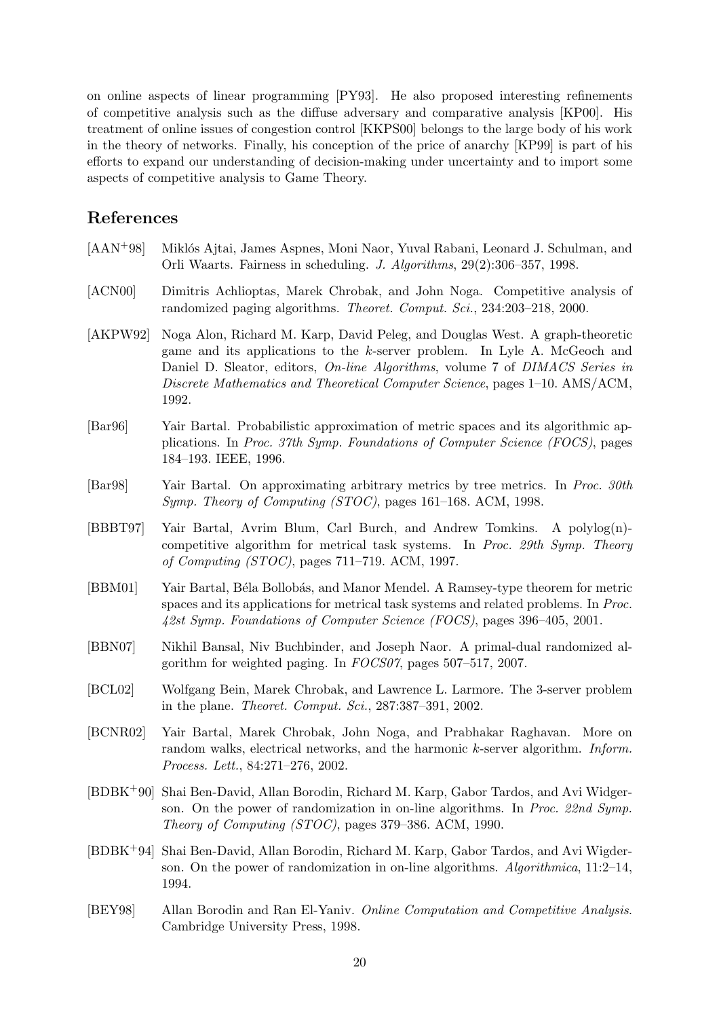on online aspects of linear programming [PY93]. He also proposed interesting refinements of competitive analysis such as the diffuse adversary and comparative analysis [KP00]. His treatment of online issues of congestion control [KKPS00] belongs to the large body of his work in the theory of networks. Finally, his conception of the price of anarchy [KP99] is part of his efforts to expand our understanding of decision-making under uncertainty and to import some aspects of competitive analysis to Game Theory.

# References

- [AAN<sup>+98]</sup> Miklós Ajtai, James Aspnes, Moni Naor, Yuval Rabani, Leonard J. Schulman, and Orli Waarts. Fairness in scheduling. J. Algorithms, 29(2):306–357, 1998.
- [ACN00] Dimitris Achlioptas, Marek Chrobak, and John Noga. Competitive analysis of randomized paging algorithms. Theoret. Comput. Sci., 234:203–218, 2000.
- [AKPW92] Noga Alon, Richard M. Karp, David Peleg, and Douglas West. A graph-theoretic game and its applications to the k-server problem. In Lyle A. McGeoch and Daniel D. Sleator, editors, *On-line Algorithms*, volume 7 of *DIMACS Series in* Discrete Mathematics and Theoretical Computer Science, pages 1–10. AMS/ACM, 1992.
- [Bar96] Yair Bartal. Probabilistic approximation of metric spaces and its algorithmic applications. In Proc. 37th Symp. Foundations of Computer Science (FOCS), pages 184–193. IEEE, 1996.
- [Bar98] Yair Bartal. On approximating arbitrary metrics by tree metrics. In Proc. 30th Symp. Theory of Computing (STOC), pages 161–168. ACM, 1998.
- [BBBT97] Yair Bartal, Avrim Blum, Carl Burch, and Andrew Tomkins. A polylog(n) competitive algorithm for metrical task systems. In Proc. 29th Symp. Theory of Computing (STOC), pages 711–719. ACM, 1997.
- [BBM01] Yair Bartal, Béla Bollobás, and Manor Mendel. A Ramsey-type theorem for metric spaces and its applications for metrical task systems and related problems. In Proc. 42st Symp. Foundations of Computer Science (FOCS), pages 396–405, 2001.
- [BBN07] Nikhil Bansal, Niv Buchbinder, and Joseph Naor. A primal-dual randomized algorithm for weighted paging. In FOCS07, pages 507–517, 2007.
- [BCL02] Wolfgang Bein, Marek Chrobak, and Lawrence L. Larmore. The 3-server problem in the plane. Theoret. Comput. Sci., 287:387–391, 2002.
- [BCNR02] Yair Bartal, Marek Chrobak, John Noga, and Prabhakar Raghavan. More on random walks, electrical networks, and the harmonic k-server algorithm. Inform. Process. Lett., 84:271–276, 2002.
- [BDBK+90] Shai Ben-David, Allan Borodin, Richard M. Karp, Gabor Tardos, and Avi Widgerson. On the power of randomization in on-line algorithms. In Proc. 22nd Symp. Theory of Computing (STOC), pages 379–386. ACM, 1990.
- [BDBK+94] Shai Ben-David, Allan Borodin, Richard M. Karp, Gabor Tardos, and Avi Wigderson. On the power of randomization in on-line algorithms. Algorithmica, 11:2–14, 1994.
- [BEY98] Allan Borodin and Ran El-Yaniv. Online Computation and Competitive Analysis. Cambridge University Press, 1998.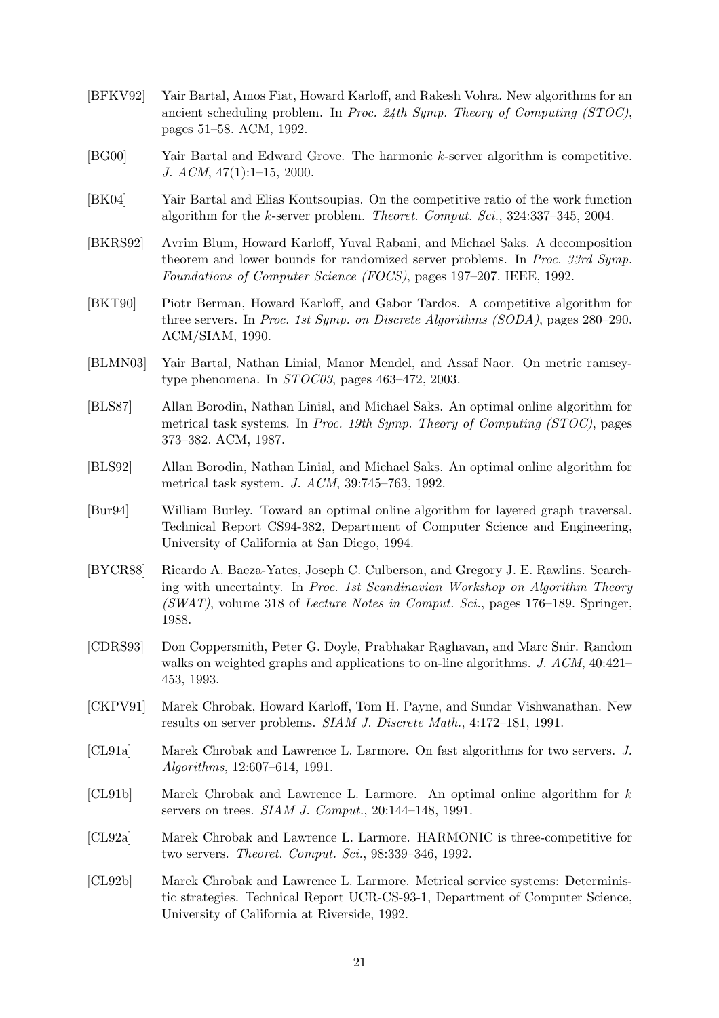- [BFKV92] Yair Bartal, Amos Fiat, Howard Karloff, and Rakesh Vohra. New algorithms for an ancient scheduling problem. In Proc. 24th Symp. Theory of Computing (STOC), pages 51–58. ACM, 1992.
- [BG00] Yair Bartal and Edward Grove. The harmonic k-server algorithm is competitive. J.  $ACM$ ,  $47(1):1-15$ , 2000.
- [BK04] Yair Bartal and Elias Koutsoupias. On the competitive ratio of the work function algorithm for the k-server problem. Theoret. Comput. Sci., 324:337–345, 2004.
- [BKRS92] Avrim Blum, Howard Karloff, Yuval Rabani, and Michael Saks. A decomposition theorem and lower bounds for randomized server problems. In Proc. 33rd Symp. Foundations of Computer Science (FOCS), pages 197–207. IEEE, 1992.
- [BKT90] Piotr Berman, Howard Karloff, and Gabor Tardos. A competitive algorithm for three servers. In Proc. 1st Symp. on Discrete Algorithms (SODA), pages 280–290. ACM/SIAM, 1990.
- [BLMN03] Yair Bartal, Nathan Linial, Manor Mendel, and Assaf Naor. On metric ramseytype phenomena. In STOC03, pages 463–472, 2003.
- [BLS87] Allan Borodin, Nathan Linial, and Michael Saks. An optimal online algorithm for metrical task systems. In Proc. 19th Symp. Theory of Computing (STOC), pages 373–382. ACM, 1987.
- [BLS92] Allan Borodin, Nathan Linial, and Michael Saks. An optimal online algorithm for metrical task system. J. ACM, 39:745–763, 1992.
- [Bur94] William Burley. Toward an optimal online algorithm for layered graph traversal. Technical Report CS94-382, Department of Computer Science and Engineering, University of California at San Diego, 1994.
- [BYCR88] Ricardo A. Baeza-Yates, Joseph C. Culberson, and Gregory J. E. Rawlins. Searching with uncertainty. In Proc. 1st Scandinavian Workshop on Algorithm Theory  $(SWAT)$ , volume 318 of Lecture Notes in Comput. Sci., pages 176–189. Springer, 1988.
- [CDRS93] Don Coppersmith, Peter G. Doyle, Prabhakar Raghavan, and Marc Snir. Random walks on weighted graphs and applications to on-line algorithms. J. ACM, 40:421– 453, 1993.
- [CKPV91] Marek Chrobak, Howard Karloff, Tom H. Payne, and Sundar Vishwanathan. New results on server problems. SIAM J. Discrete Math., 4:172–181, 1991.
- [CL91a] Marek Chrobak and Lawrence L. Larmore. On fast algorithms for two servers. J. Algorithms, 12:607–614, 1991.
- [CL91b] Marek Chrobak and Lawrence L. Larmore. An optimal online algorithm for k servers on trees. SIAM J. Comput., 20:144–148, 1991.
- [CL92a] Marek Chrobak and Lawrence L. Larmore. HARMONIC is three-competitive for two servers. Theoret. Comput. Sci., 98:339–346, 1992.
- [CL92b] Marek Chrobak and Lawrence L. Larmore. Metrical service systems: Deterministic strategies. Technical Report UCR-CS-93-1, Department of Computer Science, University of California at Riverside, 1992.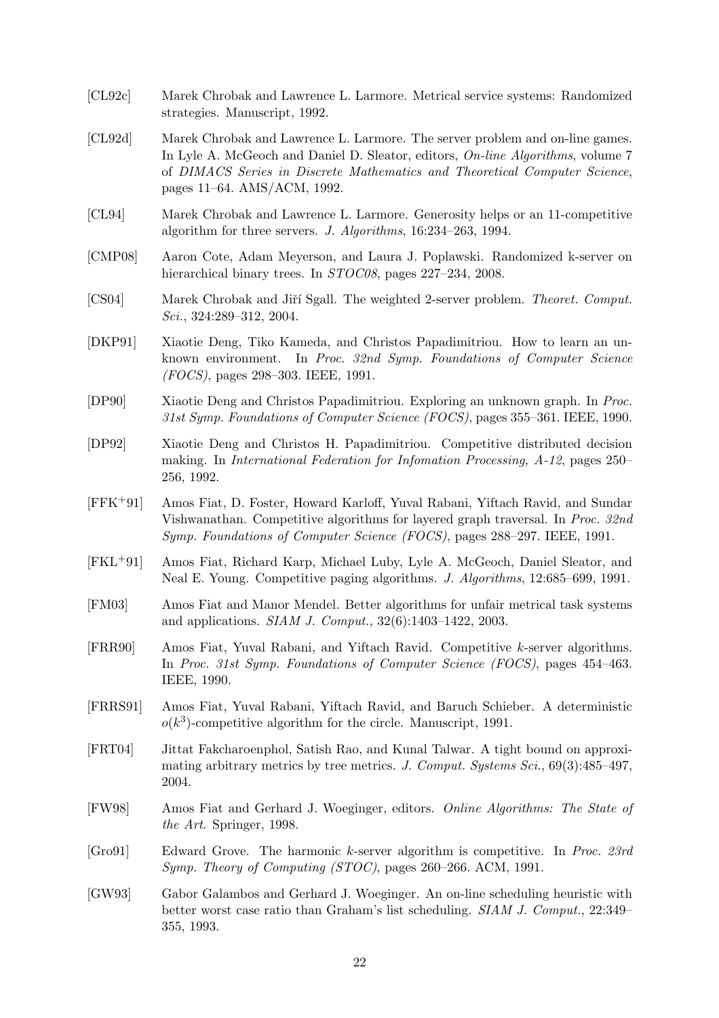- [CL92c] Marek Chrobak and Lawrence L. Larmore. Metrical service systems: Randomized strategies. Manuscript, 1992.
- [CL92d] Marek Chrobak and Lawrence L. Larmore. The server problem and on-line games. In Lyle A. McGeoch and Daniel D. Sleator, editors, On-line Algorithms, volume 7 of DIMACS Series in Discrete Mathematics and Theoretical Computer Science, pages 11–64. AMS/ACM, 1992.
- [CL94] Marek Chrobak and Lawrence L. Larmore. Generosity helps or an 11-competitive algorithm for three servers. J. Algorithms, 16:234–263, 1994.
- [CMP08] Aaron Cote, Adam Meyerson, and Laura J. Poplawski. Randomized k-server on hierarchical binary trees. In *STOC08*, pages 227–234, 2008.
- [CS04] Marek Chrobak and Jiří Sgall. The weighted 2-server problem. Theoret. Comput. Sci., 324:289–312, 2004.
- [DKP91] Xiaotie Deng, Tiko Kameda, and Christos Papadimitriou. How to learn an unknown environment. In Proc. 32nd Symp. Foundations of Computer Science (FOCS), pages 298–303. IEEE, 1991.
- [DP90] Xiaotie Deng and Christos Papadimitriou. Exploring an unknown graph. In Proc. 31st Symp. Foundations of Computer Science (FOCS), pages 355–361. IEEE, 1990.
- [DP92] Xiaotie Deng and Christos H. Papadimitriou. Competitive distributed decision making. In International Federation for Infomation Processing, A-12, pages 250– 256, 1992.
- [FFK+91] Amos Fiat, D. Foster, Howard Karloff, Yuval Rabani, Yiftach Ravid, and Sundar Vishwanathan. Competitive algorithms for layered graph traversal. In Proc. 32nd Symp. Foundations of Computer Science (FOCS), pages 288–297. IEEE, 1991.
- [FKL+91] Amos Fiat, Richard Karp, Michael Luby, Lyle A. McGeoch, Daniel Sleator, and Neal E. Young. Competitive paging algorithms. J. Algorithms, 12:685–699, 1991.
- [FM03] Amos Fiat and Manor Mendel. Better algorithms for unfair metrical task systems and applications. SIAM J. Comput., 32(6):1403–1422, 2003.
- [FRR90] Amos Fiat, Yuval Rabani, and Yiftach Ravid. Competitive k-server algorithms. In Proc. 31st Symp. Foundations of Computer Science (FOCS), pages 454–463. IEEE, 1990.
- [FRRS91] Amos Fiat, Yuval Rabani, Yiftach Ravid, and Baruch Schieber. A deterministic  $o(k^3)$ -competitive algorithm for the circle. Manuscript, 1991.
- [FRT04] Jittat Fakcharoenphol, Satish Rao, and Kunal Talwar. A tight bound on approximating arbitrary metrics by tree metrics. J. Comput. Systems Sci., 69(3):485–497, 2004.
- [FW98] Amos Fiat and Gerhard J. Woeginger, editors. Online Algorithms: The State of the Art. Springer, 1998.
- [Gro91] Edward Grove. The harmonic k-server algorithm is competitive. In Proc. 23rd Symp. Theory of Computing (STOC), pages 260–266. ACM, 1991.
- [GW93] Gabor Galambos and Gerhard J. Woeginger. An on-line scheduling heuristic with better worst case ratio than Graham's list scheduling. SIAM J. Comput., 22:349– 355, 1993.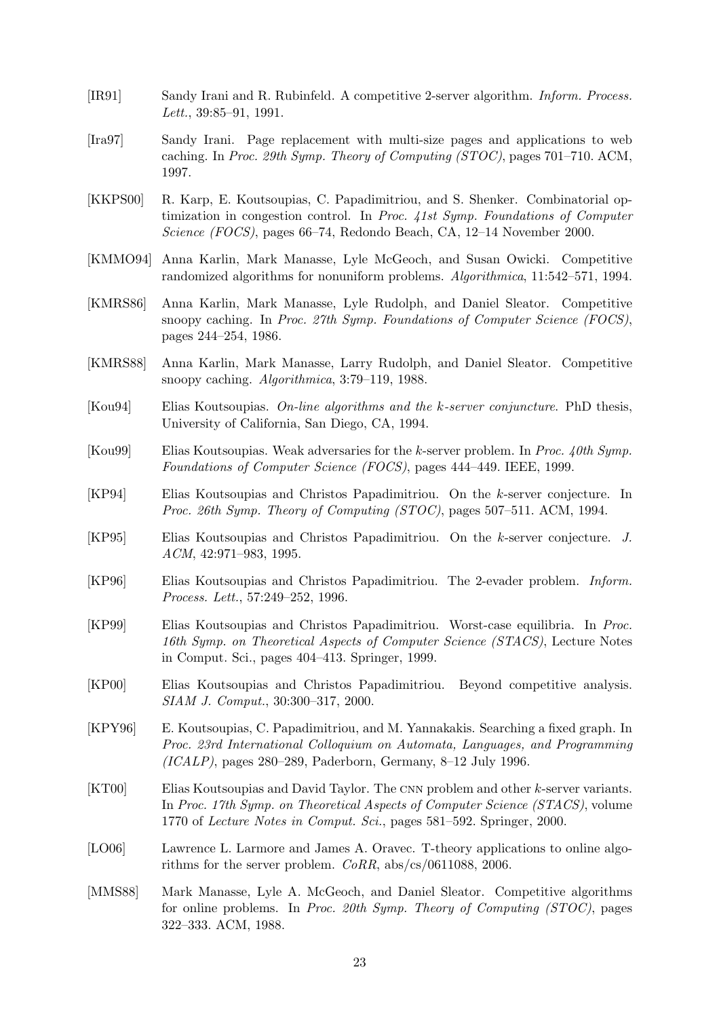- [IR91] Sandy Irani and R. Rubinfeld. A competitive 2-server algorithm. Inform. Process. Lett., 39:85–91, 1991.
- [Ira97] Sandy Irani. Page replacement with multi-size pages and applications to web caching. In Proc. 29th Symp. Theory of Computing (STOC), pages 701–710. ACM, 1997.
- [KKPS00] R. Karp, E. Koutsoupias, C. Papadimitriou, and S. Shenker. Combinatorial optimization in congestion control. In Proc. 41st Symp. Foundations of Computer Science (FOCS), pages 66–74, Redondo Beach, CA, 12–14 November 2000.
- [KMMO94] Anna Karlin, Mark Manasse, Lyle McGeoch, and Susan Owicki. Competitive randomized algorithms for nonuniform problems. Algorithmica, 11:542–571, 1994.
- [KMRS86] Anna Karlin, Mark Manasse, Lyle Rudolph, and Daniel Sleator. Competitive snoopy caching. In Proc. 27th Symp. Foundations of Computer Science (FOCS), pages 244–254, 1986.
- [KMRS88] Anna Karlin, Mark Manasse, Larry Rudolph, and Daniel Sleator. Competitive snoopy caching. Algorithmica, 3:79–119, 1988.
- [Kou94] Elias Koutsoupias. On-line algorithms and the k-server conjuncture. PhD thesis, University of California, San Diego, CA, 1994.
- [Kou99] Elias Koutsoupias. Weak adversaries for the k-server problem. In Proc. 40th Symp. Foundations of Computer Science (FOCS), pages 444–449. IEEE, 1999.
- [KP94] Elias Koutsoupias and Christos Papadimitriou. On the k-server conjecture. In Proc. 26th Symp. Theory of Computing (STOC), pages 507–511. ACM, 1994.
- [KP95] Elias Koutsoupias and Christos Papadimitriou. On the k-server conjecture. J. ACM, 42:971–983, 1995.
- [KP96] Elias Koutsoupias and Christos Papadimitriou. The 2-evader problem. Inform. Process. Lett., 57:249–252, 1996.
- [KP99] Elias Koutsoupias and Christos Papadimitriou. Worst-case equilibria. In Proc. 16th Symp. on Theoretical Aspects of Computer Science (STACS), Lecture Notes in Comput. Sci., pages 404–413. Springer, 1999.
- [KP00] Elias Koutsoupias and Christos Papadimitriou. Beyond competitive analysis. SIAM J. Comput., 30:300–317, 2000.
- [KPY96] E. Koutsoupias, C. Papadimitriou, and M. Yannakakis. Searching a fixed graph. In Proc. 23rd International Colloquium on Automata, Languages, and Programming  $(ICALP)$ , pages 280–289, Paderborn, Germany, 8–12 July 1996.
- [KT00] Elias Koutsoupias and David Taylor. The CNN problem and other k-server variants. In Proc. 17th Symp. on Theoretical Aspects of Computer Science (STACS), volume 1770 of Lecture Notes in Comput. Sci., pages 581–592. Springer, 2000.
- [LO06] Lawrence L. Larmore and James A. Oravec. T-theory applications to online algorithms for the server problem. CoRR, abs/cs/0611088, 2006.
- [MMS88] Mark Manasse, Lyle A. McGeoch, and Daniel Sleator. Competitive algorithms for online problems. In Proc. 20th Symp. Theory of Computing (STOC), pages 322–333. ACM, 1988.